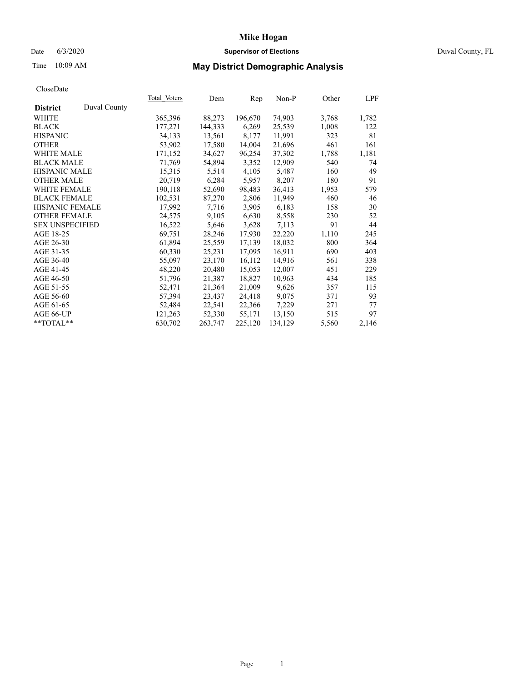## Date 6/3/2020 **Supervisor of Elections** Duval County, FL

# Time 10:09 AM **May District Demographic Analysis**

|                        |              | Total Voters | Dem     | Rep     | $Non-P$ | Other | <u>LPF</u> |
|------------------------|--------------|--------------|---------|---------|---------|-------|------------|
| <b>District</b>        | Duval County |              |         |         |         |       |            |
| WHITE                  |              | 365,396      | 88,273  | 196,670 | 74,903  | 3,768 | 1,782      |
| <b>BLACK</b>           |              | 177,271      | 144,333 | 6,269   | 25,539  | 1,008 | 122        |
| <b>HISPANIC</b>        |              | 34,133       | 13,561  | 8,177   | 11,991  | 323   | 81         |
| <b>OTHER</b>           |              | 53,902       | 17,580  | 14,004  | 21,696  | 461   | 161        |
| WHITE MALE             |              | 171,152      | 34,627  | 96,254  | 37,302  | 1,788 | 1,181      |
| <b>BLACK MALE</b>      |              | 71,769       | 54,894  | 3,352   | 12,909  | 540   | 74         |
| <b>HISPANIC MALE</b>   |              | 15,315       | 5,514   | 4,105   | 5,487   | 160   | 49         |
| <b>OTHER MALE</b>      |              | 20,719       | 6,284   | 5,957   | 8,207   | 180   | 91         |
| <b>WHITE FEMALE</b>    |              | 190,118      | 52,690  | 98,483  | 36,413  | 1,953 | 579        |
| <b>BLACK FEMALE</b>    |              | 102,531      | 87,270  | 2,806   | 11,949  | 460   | 46         |
| HISPANIC FEMALE        |              | 17,992       | 7,716   | 3,905   | 6,183   | 158   | 30         |
| <b>OTHER FEMALE</b>    |              | 24,575       | 9,105   | 6,630   | 8,558   | 230   | 52         |
| <b>SEX UNSPECIFIED</b> |              | 16,522       | 5,646   | 3,628   | 7,113   | 91    | 44         |
| AGE 18-25              |              | 69,751       | 28,246  | 17,930  | 22,220  | 1,110 | 245        |
| AGE 26-30              |              | 61,894       | 25,559  | 17,139  | 18,032  | 800   | 364        |
| AGE 31-35              |              | 60,330       | 25,231  | 17,095  | 16,911  | 690   | 403        |
| AGE 36-40              |              | 55,097       | 23,170  | 16,112  | 14,916  | 561   | 338        |
| AGE 41-45              |              | 48,220       | 20,480  | 15,053  | 12,007  | 451   | 229        |
| AGE 46-50              |              | 51,796       | 21,387  | 18,827  | 10,963  | 434   | 185        |
| AGE 51-55              |              | 52,471       | 21,364  | 21,009  | 9,626   | 357   | 115        |
| AGE 56-60              |              | 57,394       | 23,437  | 24,418  | 9,075   | 371   | 93         |
| AGE 61-65              |              | 52,484       | 22,541  | 22,366  | 7,229   | 271   | 77         |
| AGE 66-UP              |              | 121,263      | 52,330  | 55,171  | 13,150  | 515   | 97         |
| $*$ TOTAL $*$          |              | 630,702      | 263,747 | 225,120 | 134,129 | 5,560 | 2,146      |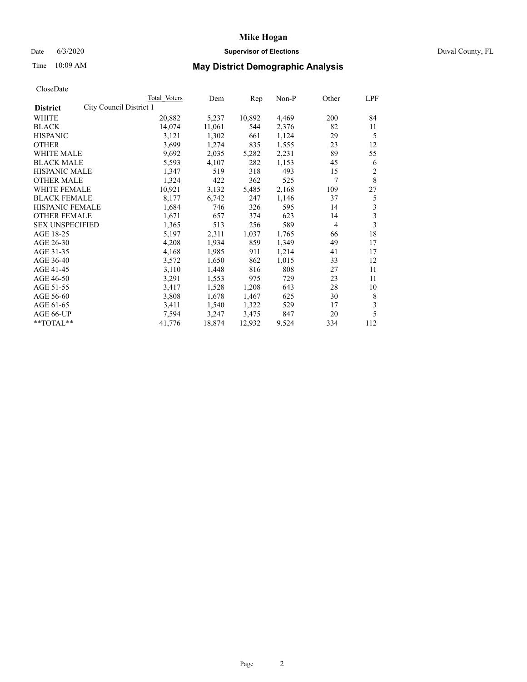#### Date 6/3/2020 **Supervisor of Elections Supervisor of Elections** Duval County, FL

# Time 10:09 AM **May District Demographic Analysis**

|                                            | Total Voters | Dem    | Rep    | $Non-P$ | Other          | LPF                     |
|--------------------------------------------|--------------|--------|--------|---------|----------------|-------------------------|
| City Council District 1<br><b>District</b> |              |        |        |         |                |                         |
| WHITE                                      | 20,882       | 5,237  | 10,892 | 4,469   | 200            | 84                      |
| <b>BLACK</b>                               | 14,074       | 11,061 | 544    | 2,376   | 82             | 11                      |
| <b>HISPANIC</b>                            | 3,121        | 1,302  | 661    | 1,124   | 29             | 5                       |
| <b>OTHER</b>                               | 3,699        | 1,274  | 835    | 1,555   | 23             | 12                      |
| WHITE MALE                                 | 9,692        | 2,035  | 5,282  | 2,231   | 89             | 55                      |
| <b>BLACK MALE</b>                          | 5,593        | 4,107  | 282    | 1,153   | 45             | 6                       |
| <b>HISPANIC MALE</b>                       | 1,347        | 519    | 318    | 493     | 15             | $\mathfrak{2}$          |
| <b>OTHER MALE</b>                          | 1,324        | 422    | 362    | 525     | 7              | 8                       |
| WHITE FEMALE                               | 10,921       | 3,132  | 5,485  | 2,168   | 109            | 27                      |
| <b>BLACK FEMALE</b>                        | 8,177        | 6,742  | 247    | 1,146   | 37             | 5                       |
| <b>HISPANIC FEMALE</b>                     | 1,684        | 746    | 326    | 595     | 14             | 3                       |
| <b>OTHER FEMALE</b>                        | 1,671        | 657    | 374    | 623     | 14             | $\overline{\mathbf{3}}$ |
| <b>SEX UNSPECIFIED</b>                     | 1,365        | 513    | 256    | 589     | $\overline{4}$ | 3                       |
| AGE 18-25                                  | 5,197        | 2,311  | 1,037  | 1,765   | 66             | 18                      |
| AGE 26-30                                  | 4,208        | 1,934  | 859    | 1,349   | 49             | 17                      |
| AGE 31-35                                  | 4,168        | 1,985  | 911    | 1,214   | 41             | 17                      |
| AGE 36-40                                  | 3,572        | 1,650  | 862    | 1,015   | 33             | 12                      |
| AGE 41-45                                  | 3,110        | 1,448  | 816    | 808     | 27             | 11                      |
| AGE 46-50                                  | 3,291        | 1,553  | 975    | 729     | 23             | 11                      |
| AGE 51-55                                  | 3,417        | 1,528  | 1,208  | 643     | 28             | 10                      |
| AGE 56-60                                  | 3,808        | 1,678  | 1,467  | 625     | 30             | 8                       |
| AGE 61-65                                  | 3,411        | 1,540  | 1,322  | 529     | 17             | 3                       |
| AGE 66-UP                                  | 7,594        | 3,247  | 3,475  | 847     | 20             | 5                       |
| **TOTAL**                                  | 41,776       | 18,874 | 12,932 | 9,524   | 334            | 112                     |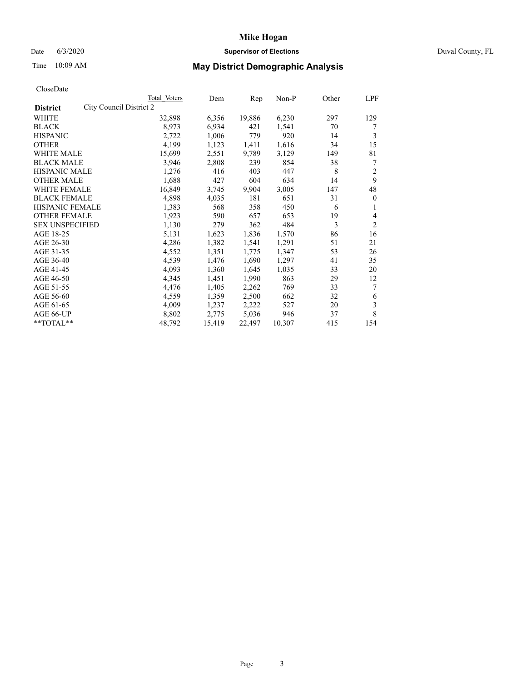## Date 6/3/2020 **Supervisor of Elections** Duval County, FL

# Time 10:09 AM **May District Demographic Analysis**

|                                            | Total Voters | Dem    | Rep    | Non-P  | Other | LPF            |
|--------------------------------------------|--------------|--------|--------|--------|-------|----------------|
| City Council District 2<br><b>District</b> |              |        |        |        |       |                |
| WHITE                                      | 32,898       | 6,356  | 19,886 | 6,230  | 297   | 129            |
| <b>BLACK</b>                               | 8,973        | 6,934  | 421    | 1,541  | 70    | 7              |
| <b>HISPANIC</b>                            | 2,722        | 1,006  | 779    | 920    | 14    | 3              |
| <b>OTHER</b>                               | 4,199        | 1,123  | 1,411  | 1,616  | 34    | 15             |
| WHITE MALE                                 | 15,699       | 2,551  | 9,789  | 3,129  | 149   | 81             |
| <b>BLACK MALE</b>                          | 3,946        | 2,808  | 239    | 854    | 38    | 7              |
| <b>HISPANIC MALE</b>                       | 1,276        | 416    | 403    | 447    | 8     | $\overline{2}$ |
| <b>OTHER MALE</b>                          | 1,688        | 427    | 604    | 634    | 14    | 9              |
| WHITE FEMALE                               | 16,849       | 3,745  | 9,904  | 3,005  | 147   | 48             |
| <b>BLACK FEMALE</b>                        | 4,898        | 4,035  | 181    | 651    | 31    | $\mathbf{0}$   |
| <b>HISPANIC FEMALE</b>                     | 1,383        | 568    | 358    | 450    | 6     | 1              |
| <b>OTHER FEMALE</b>                        | 1,923        | 590    | 657    | 653    | 19    | 4              |
| <b>SEX UNSPECIFIED</b>                     | 1,130        | 279    | 362    | 484    | 3     | $\overline{2}$ |
| AGE 18-25                                  | 5,131        | 1,623  | 1,836  | 1,570  | 86    | 16             |
| AGE 26-30                                  | 4,286        | 1,382  | 1,541  | 1,291  | 51    | 21             |
| AGE 31-35                                  | 4,552        | 1,351  | 1,775  | 1,347  | 53    | 26             |
| AGE 36-40                                  | 4,539        | 1,476  | 1,690  | 1,297  | 41    | 35             |
| AGE 41-45                                  | 4,093        | 1,360  | 1,645  | 1,035  | 33    | 20             |
| AGE 46-50                                  | 4,345        | 1,451  | 1,990  | 863    | 29    | 12             |
| AGE 51-55                                  | 4,476        | 1,405  | 2,262  | 769    | 33    | 7              |
| AGE 56-60                                  | 4,559        | 1,359  | 2,500  | 662    | 32    | 6              |
| AGE 61-65                                  | 4,009        | 1,237  | 2,222  | 527    | 20    | 3              |
| AGE 66-UP                                  | 8,802        | 2,775  | 5,036  | 946    | 37    | 8              |
| **TOTAL**                                  | 48,792       | 15,419 | 22,497 | 10,307 | 415   | 154            |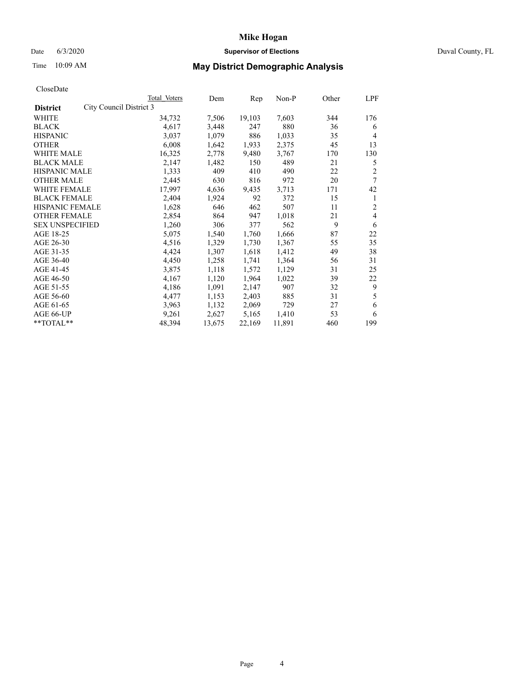#### Date 6/3/2020 **Supervisor of Elections Supervisor of Elections** Duval County, FL

# Time 10:09 AM **May District Demographic Analysis**

| Total Voters            | Dem    | Rep    | $Non-P$ | Other | LPF            |
|-------------------------|--------|--------|---------|-------|----------------|
| City Council District 3 |        |        |         |       |                |
| 34,732                  | 7,506  | 19,103 | 7,603   | 344   | 176            |
| 4,617                   | 3,448  | 247    | 880     | 36    | 6              |
| 3,037                   | 1,079  | 886    | 1,033   | 35    | $\overline{4}$ |
| 6,008                   | 1,642  | 1,933  | 2,375   | 45    | 13             |
| 16,325                  | 2,778  | 9,480  | 3,767   | 170   | 130            |
| 2,147                   | 1,482  | 150    | 489     | 21    | 5              |
| 1,333                   | 409    | 410    | 490     | 22    | $\overline{2}$ |
| 2,445                   | 630    | 816    | 972     | 20    | 7              |
| 17,997                  | 4,636  | 9,435  | 3,713   | 171   | 42             |
| 2,404                   | 1,924  | 92     | 372     | 15    | 1              |
| 1,628                   | 646    | 462    | 507     | 11    | 2              |
| 2,854                   | 864    | 947    | 1,018   | 21    | 4              |
| 1,260                   | 306    | 377    | 562     | 9     | 6              |
| 5,075                   | 1,540  | 1,760  | 1,666   | 87    | 22             |
| 4,516                   | 1,329  | 1,730  | 1,367   | 55    | 35             |
| 4,424                   | 1,307  | 1,618  | 1,412   | 49    | 38             |
| 4,450                   | 1,258  | 1,741  | 1,364   | 56    | 31             |
| 3,875                   | 1,118  | 1,572  | 1,129   | 31    | 25             |
| 4,167                   | 1,120  | 1,964  | 1,022   | 39    | 22             |
| 4,186                   | 1,091  | 2,147  | 907     | 32    | 9              |
| 4,477                   | 1,153  | 2,403  | 885     | 31    | 5              |
| 3,963                   | 1,132  | 2,069  | 729     | 27    | 6              |
| 9,261                   | 2,627  | 5,165  | 1,410   | 53    | 6              |
| 48,394                  | 13,675 | 22,169 | 11,891  | 460   | 199            |
|                         |        |        |         |       |                |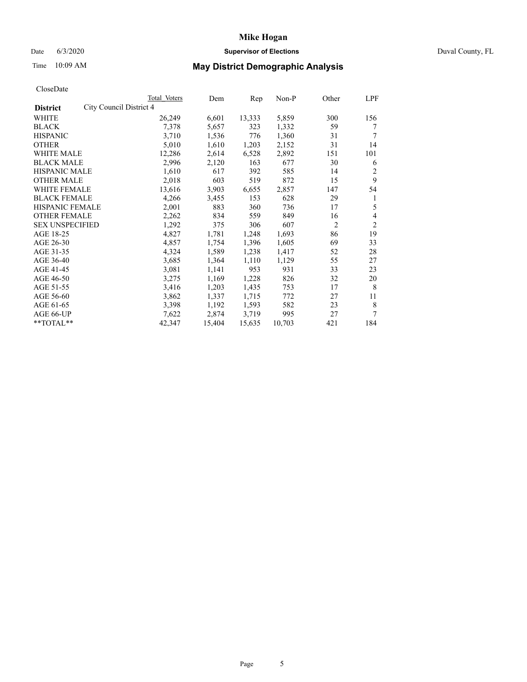#### Date 6/3/2020 **Supervisor of Elections Supervisor of Elections** Duval County, FL

# Time 10:09 AM **May District Demographic Analysis**

|                        |                         | Total Voters | Dem    | Rep    | Non-P  | Other          | LPF            |
|------------------------|-------------------------|--------------|--------|--------|--------|----------------|----------------|
| <b>District</b>        | City Council District 4 |              |        |        |        |                |                |
| WHITE                  |                         | 26,249       | 6,601  | 13,333 | 5,859  | 300            | 156            |
| <b>BLACK</b>           |                         | 7,378        | 5,657  | 323    | 1,332  | 59             | 7              |
| <b>HISPANIC</b>        |                         | 3,710        | 1,536  | 776    | 1,360  | 31             | 7              |
| <b>OTHER</b>           |                         | 5,010        | 1,610  | 1,203  | 2,152  | 31             | 14             |
| WHITE MALE             |                         | 12,286       | 2,614  | 6,528  | 2,892  | 151            | 101            |
| <b>BLACK MALE</b>      |                         | 2,996        | 2,120  | 163    | 677    | 30             | 6              |
| <b>HISPANIC MALE</b>   |                         | 1,610        | 617    | 392    | 585    | 14             | 2              |
| <b>OTHER MALE</b>      |                         | 2,018        | 603    | 519    | 872    | 15             | 9              |
| WHITE FEMALE           |                         | 13,616       | 3,903  | 6,655  | 2,857  | 147            | 54             |
| <b>BLACK FEMALE</b>    |                         | 4,266        | 3,455  | 153    | 628    | 29             | 1              |
| HISPANIC FEMALE        |                         | 2,001        | 883    | 360    | 736    | 17             | 5              |
| <b>OTHER FEMALE</b>    |                         | 2,262        | 834    | 559    | 849    | 16             | 4              |
| <b>SEX UNSPECIFIED</b> |                         | 1,292        | 375    | 306    | 607    | $\overline{2}$ | $\overline{2}$ |
| AGE 18-25              |                         | 4,827        | 1,781  | 1,248  | 1,693  | 86             | 19             |
| AGE 26-30              |                         | 4,857        | 1,754  | 1,396  | 1,605  | 69             | 33             |
| AGE 31-35              |                         | 4,324        | 1,589  | 1,238  | 1,417  | 52             | 28             |
| AGE 36-40              |                         | 3,685        | 1,364  | 1,110  | 1,129  | 55             | 27             |
| AGE 41-45              |                         | 3,081        | 1,141  | 953    | 931    | 33             | 23             |
| AGE 46-50              |                         | 3,275        | 1,169  | 1,228  | 826    | 32             | 20             |
| AGE 51-55              |                         | 3,416        | 1,203  | 1,435  | 753    | 17             | 8              |
| AGE 56-60              |                         | 3,862        | 1,337  | 1,715  | 772    | 27             | 11             |
| AGE 61-65              |                         | 3,398        | 1,192  | 1,593  | 582    | 23             | 8              |
| AGE 66-UP              |                         | 7,622        | 2,874  | 3,719  | 995    | 27             | 7              |
| **TOTAL**              |                         | 42,347       | 15,404 | 15,635 | 10,703 | 421            | 184            |
|                        |                         |              |        |        |        |                |                |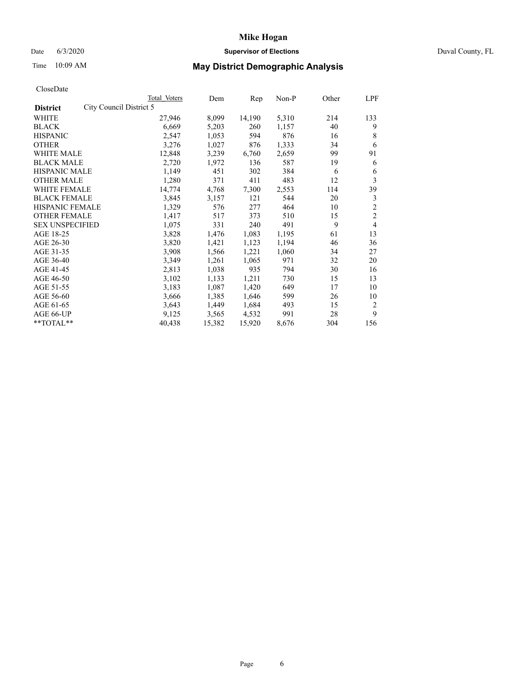## Date 6/3/2020 **Supervisor of Elections** Duval County, FL

# Time 10:09 AM **May District Demographic Analysis**

|                                            | Total Voters | Dem    | Rep    | Non-P | Other | LPF            |
|--------------------------------------------|--------------|--------|--------|-------|-------|----------------|
| City Council District 5<br><b>District</b> |              |        |        |       |       |                |
| WHITE                                      | 27,946       | 8,099  | 14,190 | 5,310 | 214   | 133            |
| <b>BLACK</b>                               | 6,669        | 5,203  | 260    | 1,157 | 40    | 9              |
| <b>HISPANIC</b>                            | 2,547        | 1,053  | 594    | 876   | 16    | 8              |
| <b>OTHER</b>                               | 3,276        | 1,027  | 876    | 1,333 | 34    | 6              |
| WHITE MALE                                 | 12,848       | 3,239  | 6,760  | 2,659 | 99    | 91             |
| <b>BLACK MALE</b>                          | 2,720        | 1,972  | 136    | 587   | 19    | 6              |
| <b>HISPANIC MALE</b>                       | 1,149        | 451    | 302    | 384   | 6     | 6              |
| <b>OTHER MALE</b>                          | 1,280        | 371    | 411    | 483   | 12    | 3              |
| WHITE FEMALE                               | 14,774       | 4,768  | 7,300  | 2,553 | 114   | 39             |
| <b>BLACK FEMALE</b>                        | 3,845        | 3,157  | 121    | 544   | 20    | 3              |
| <b>HISPANIC FEMALE</b>                     | 1,329        | 576    | 277    | 464   | 10    | $\overline{2}$ |
| <b>OTHER FEMALE</b>                        | 1,417        | 517    | 373    | 510   | 15    | $\overline{c}$ |
| <b>SEX UNSPECIFIED</b>                     | 1,075        | 331    | 240    | 491   | 9     | 4              |
| AGE 18-25                                  | 3,828        | 1,476  | 1,083  | 1,195 | 61    | 13             |
| AGE 26-30                                  | 3,820        | 1,421  | 1,123  | 1,194 | 46    | 36             |
| AGE 31-35                                  | 3,908        | 1,566  | 1,221  | 1,060 | 34    | 27             |
| AGE 36-40                                  | 3,349        | 1,261  | 1,065  | 971   | 32    | 20             |
| AGE 41-45                                  | 2,813        | 1,038  | 935    | 794   | 30    | 16             |
| AGE 46-50                                  | 3,102        | 1,133  | 1,211  | 730   | 15    | 13             |
| AGE 51-55                                  | 3,183        | 1,087  | 1,420  | 649   | 17    | 10             |
| AGE 56-60                                  | 3,666        | 1,385  | 1,646  | 599   | 26    | 10             |
| AGE 61-65                                  | 3,643        | 1,449  | 1,684  | 493   | 15    | 2              |
| AGE 66-UP                                  | 9,125        | 3,565  | 4,532  | 991   | 28    | 9              |
| **TOTAL**                                  | 40,438       | 15,382 | 15,920 | 8,676 | 304   | 156            |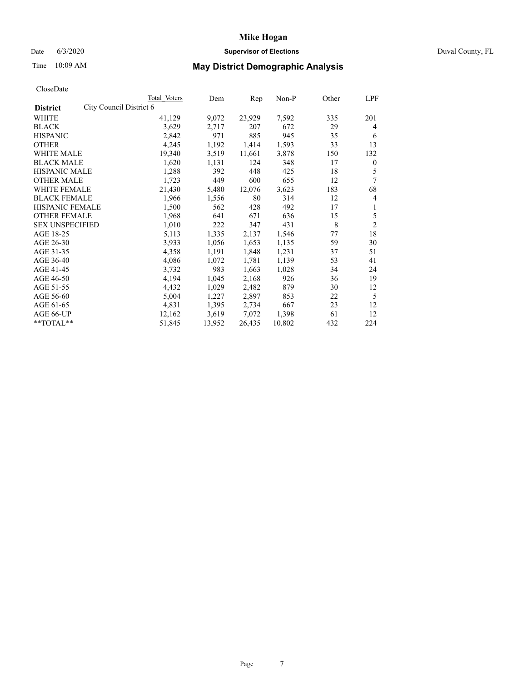## Date 6/3/2020 **Supervisor of Elections** Duval County, FL

# Time 10:09 AM **May District Demographic Analysis**

|                        | Total Voters            | Dem    | Rep    | Non-P  | Other | LPF            |
|------------------------|-------------------------|--------|--------|--------|-------|----------------|
| <b>District</b>        | City Council District 6 |        |        |        |       |                |
| WHITE                  | 41,129                  | 9,072  | 23,929 | 7,592  | 335   | 201            |
| <b>BLACK</b>           | 3,629                   | 2,717  | 207    | 672    | 29    | 4              |
| <b>HISPANIC</b>        | 2,842                   | 971    | 885    | 945    | 35    | 6              |
| <b>OTHER</b>           | 4,245                   | 1,192  | 1,414  | 1,593  | 33    | 13             |
| WHITE MALE             | 19,340                  | 3,519  | 11,661 | 3,878  | 150   | 132            |
| <b>BLACK MALE</b>      | 1,620                   | 1,131  | 124    | 348    | 17    | $\mathbf{0}$   |
| <b>HISPANIC MALE</b>   | 1,288                   | 392    | 448    | 425    | 18    | 5              |
| <b>OTHER MALE</b>      | 1,723                   | 449    | 600    | 655    | 12    | 7              |
| WHITE FEMALE           | 21,430                  | 5,480  | 12,076 | 3,623  | 183   | 68             |
| <b>BLACK FEMALE</b>    | 1,966                   | 1,556  | 80     | 314    | 12    | 4              |
| <b>HISPANIC FEMALE</b> | 1,500                   | 562    | 428    | 492    | 17    | 1              |
| <b>OTHER FEMALE</b>    | 1,968                   | 641    | 671    | 636    | 15    | 5              |
| <b>SEX UNSPECIFIED</b> | 1,010                   | 222    | 347    | 431    | 8     | $\overline{2}$ |
| AGE 18-25              | 5,113                   | 1,335  | 2,137  | 1,546  | 77    | 18             |
| AGE 26-30              | 3,933                   | 1,056  | 1,653  | 1,135  | 59    | 30             |
| AGE 31-35              | 4,358                   | 1,191  | 1,848  | 1,231  | 37    | 51             |
| AGE 36-40              | 4,086                   | 1,072  | 1,781  | 1,139  | 53    | 41             |
| AGE 41-45              | 3,732                   | 983    | 1,663  | 1,028  | 34    | 24             |
| AGE 46-50              | 4,194                   | 1,045  | 2,168  | 926    | 36    | 19             |
| AGE 51-55              | 4,432                   | 1,029  | 2,482  | 879    | 30    | 12             |
| AGE 56-60              | 5,004                   | 1,227  | 2,897  | 853    | 22    | 5              |
| AGE 61-65              | 4,831                   | 1,395  | 2,734  | 667    | 23    | 12             |
| AGE 66-UP              | 12,162                  | 3,619  | 7,072  | 1,398  | 61    | 12             |
| **TOTAL**              | 51,845                  | 13,952 | 26,435 | 10,802 | 432   | 224            |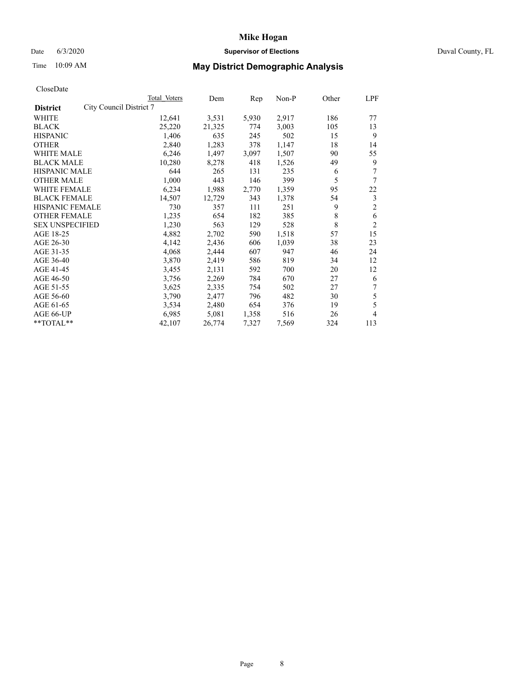#### Date 6/3/2020 **Supervisor of Elections Supervisor of Elections** Duval County, FL

# Time 10:09 AM **May District Demographic Analysis**

|                                            | Total Voters | Dem    | Rep   | Non-P | Other | LPF            |
|--------------------------------------------|--------------|--------|-------|-------|-------|----------------|
| City Council District 7<br><b>District</b> |              |        |       |       |       |                |
| WHITE                                      | 12,641       | 3,531  | 5,930 | 2,917 | 186   | 77             |
| <b>BLACK</b>                               | 25,220       | 21,325 | 774   | 3,003 | 105   | 13             |
| <b>HISPANIC</b>                            | 1,406        | 635    | 245   | 502   | 15    | 9              |
| <b>OTHER</b>                               | 2,840        | 1,283  | 378   | 1,147 | 18    | 14             |
| WHITE MALE                                 | 6,246        | 1,497  | 3,097 | 1,507 | 90    | 55             |
| <b>BLACK MALE</b>                          | 10,280       | 8,278  | 418   | 1,526 | 49    | 9              |
| <b>HISPANIC MALE</b>                       | 644          | 265    | 131   | 235   | 6     | 7              |
| <b>OTHER MALE</b>                          | 1,000        | 443    | 146   | 399   | 5     | 7              |
| WHITE FEMALE                               | 6,234        | 1,988  | 2,770 | 1,359 | 95    | 22             |
| <b>BLACK FEMALE</b>                        | 14,507       | 12,729 | 343   | 1,378 | 54    | 3              |
| <b>HISPANIC FEMALE</b>                     | 730          | 357    | 111   | 251   | 9     | $\overline{2}$ |
| <b>OTHER FEMALE</b>                        | 1,235        | 654    | 182   | 385   | 8     | 6              |
| <b>SEX UNSPECIFIED</b>                     | 1,230        | 563    | 129   | 528   | 8     | $\overline{2}$ |
| AGE 18-25                                  | 4,882        | 2,702  | 590   | 1,518 | 57    | 15             |
| AGE 26-30                                  | 4,142        | 2,436  | 606   | 1,039 | 38    | 23             |
| AGE 31-35                                  | 4,068        | 2,444  | 607   | 947   | 46    | 24             |
| AGE 36-40                                  | 3,870        | 2,419  | 586   | 819   | 34    | 12             |
| AGE 41-45                                  | 3,455        | 2,131  | 592   | 700   | 20    | 12             |
| AGE 46-50                                  | 3,756        | 2,269  | 784   | 670   | 27    | 6              |
| AGE 51-55                                  | 3,625        | 2,335  | 754   | 502   | 27    | 7              |
| AGE 56-60                                  | 3,790        | 2,477  | 796   | 482   | 30    | 5              |
| AGE 61-65                                  | 3,534        | 2,480  | 654   | 376   | 19    | 5              |
| AGE 66-UP                                  | 6,985        | 5,081  | 1,358 | 516   | 26    | 4              |
| $*$ $TOTAL**$                              | 42,107       | 26,774 | 7,327 | 7,569 | 324   | 113            |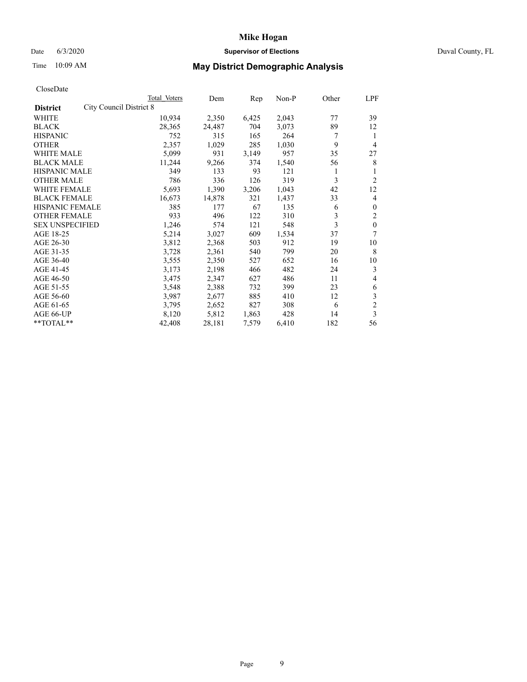#### Date 6/3/2020 **Supervisor of Elections Supervisor of Elections** Duval County, FL

# Time 10:09 AM **May District Demographic Analysis**

|                                                   | Total Voters | Dem    | Rep   | Non-P | Other | LPF            |
|---------------------------------------------------|--------------|--------|-------|-------|-------|----------------|
| <b>City Council District 8</b><br><b>District</b> |              |        |       |       |       |                |
| WHITE                                             | 10,934       | 2,350  | 6,425 | 2,043 | 77    | 39             |
| <b>BLACK</b>                                      | 28,365       | 24,487 | 704   | 3,073 | 89    | 12             |
| <b>HISPANIC</b>                                   | 752          | 315    | 165   | 264   | 7     | 1              |
| <b>OTHER</b>                                      | 2,357        | 1,029  | 285   | 1,030 | 9     | 4              |
| WHITE MALE                                        | 5,099        | 931    | 3,149 | 957   | 35    | 27             |
| <b>BLACK MALE</b>                                 | 11,244       | 9,266  | 374   | 1,540 | 56    | 8              |
| <b>HISPANIC MALE</b>                              | 349          | 133    | 93    | 121   | 1     | 1              |
| <b>OTHER MALE</b>                                 | 786          | 336    | 126   | 319   | 3     | 2              |
| WHITE FEMALE                                      | 5,693        | 1,390  | 3,206 | 1,043 | 42    | 12             |
| <b>BLACK FEMALE</b>                               | 16,673       | 14,878 | 321   | 1,437 | 33    | 4              |
| <b>HISPANIC FEMALE</b>                            | 385          | 177    | 67    | 135   | 6     | $\mathbf{0}$   |
| <b>OTHER FEMALE</b>                               | 933          | 496    | 122   | 310   | 3     | 2              |
| <b>SEX UNSPECIFIED</b>                            | 1,246        | 574    | 121   | 548   | 3     | $\mathbf{0}$   |
| AGE 18-25                                         | 5,214        | 3,027  | 609   | 1,534 | 37    | 7              |
| AGE 26-30                                         | 3,812        | 2,368  | 503   | 912   | 19    | 10             |
| AGE 31-35                                         | 3,728        | 2,361  | 540   | 799   | 20    | 8              |
| AGE 36-40                                         | 3,555        | 2,350  | 527   | 652   | 16    | 10             |
| AGE 41-45                                         | 3,173        | 2,198  | 466   | 482   | 24    | 3              |
| AGE 46-50                                         | 3,475        | 2,347  | 627   | 486   | 11    | 4              |
| AGE 51-55                                         | 3,548        | 2,388  | 732   | 399   | 23    | 6              |
| AGE 56-60                                         | 3,987        | 2,677  | 885   | 410   | 12    | 3              |
| AGE 61-65                                         | 3,795        | 2,652  | 827   | 308   | 6     | $\overline{c}$ |
| AGE 66-UP                                         | 8,120        | 5,812  | 1,863 | 428   | 14    | 3              |
| **TOTAL**                                         | 42,408       | 28,181 | 7,579 | 6,410 | 182   | 56             |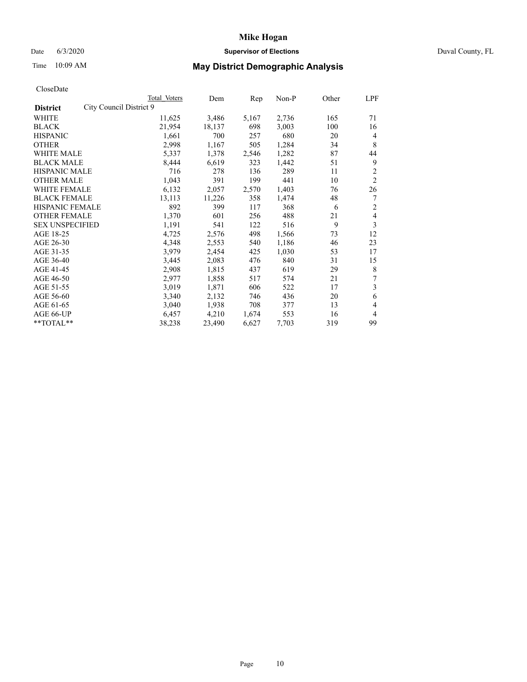#### Date 6/3/2020 **Supervisor of Elections Supervisor of Elections** Duval County, FL

# Time 10:09 AM **May District Demographic Analysis**

|                                            | Total Voters | Dem    | Rep   | Non-P | Other | LPF            |
|--------------------------------------------|--------------|--------|-------|-------|-------|----------------|
| City Council District 9<br><b>District</b> |              |        |       |       |       |                |
| WHITE                                      | 11,625       | 3,486  | 5,167 | 2,736 | 165   | 71             |
| <b>BLACK</b>                               | 21,954       | 18,137 | 698   | 3,003 | 100   | 16             |
| <b>HISPANIC</b>                            | 1,661        | 700    | 257   | 680   | 20    | $\overline{4}$ |
| <b>OTHER</b>                               | 2,998        | 1,167  | 505   | 1,284 | 34    | 8              |
| WHITE MALE                                 | 5,337        | 1,378  | 2,546 | 1,282 | 87    | 44             |
| <b>BLACK MALE</b>                          | 8,444        | 6,619  | 323   | 1,442 | 51    | 9              |
| <b>HISPANIC MALE</b>                       | 716          | 278    | 136   | 289   | 11    | $\overline{2}$ |
| <b>OTHER MALE</b>                          | 1,043        | 391    | 199   | 441   | 10    | $\overline{2}$ |
| <b>WHITE FEMALE</b>                        | 6,132        | 2,057  | 2,570 | 1,403 | 76    | 26             |
| <b>BLACK FEMALE</b>                        | 13,113       | 11,226 | 358   | 1,474 | 48    | 7              |
| HISPANIC FEMALE                            | 892          | 399    | 117   | 368   | 6     | $\overline{2}$ |
| <b>OTHER FEMALE</b>                        | 1,370        | 601    | 256   | 488   | 21    | 4              |
| <b>SEX UNSPECIFIED</b>                     | 1,191        | 541    | 122   | 516   | 9     | 3              |
| AGE 18-25                                  | 4,725        | 2,576  | 498   | 1,566 | 73    | 12             |
| AGE 26-30                                  | 4,348        | 2,553  | 540   | 1,186 | 46    | 23             |
| AGE 31-35                                  | 3,979        | 2,454  | 425   | 1,030 | 53    | 17             |
| AGE 36-40                                  | 3,445        | 2,083  | 476   | 840   | 31    | 15             |
| AGE 41-45                                  | 2,908        | 1,815  | 437   | 619   | 29    | 8              |
| AGE 46-50                                  | 2,977        | 1,858  | 517   | 574   | 21    | 7              |
| AGE 51-55                                  | 3,019        | 1,871  | 606   | 522   | 17    | 3              |
| AGE 56-60                                  | 3,340        | 2,132  | 746   | 436   | 20    | 6              |
| AGE 61-65                                  | 3,040        | 1,938  | 708   | 377   | 13    | 4              |
| AGE 66-UP                                  | 6,457        | 4,210  | 1,674 | 553   | 16    | $\overline{4}$ |
| $*$ $TOTAL**$                              | 38,238       | 23,490 | 6,627 | 7,703 | 319   | 99             |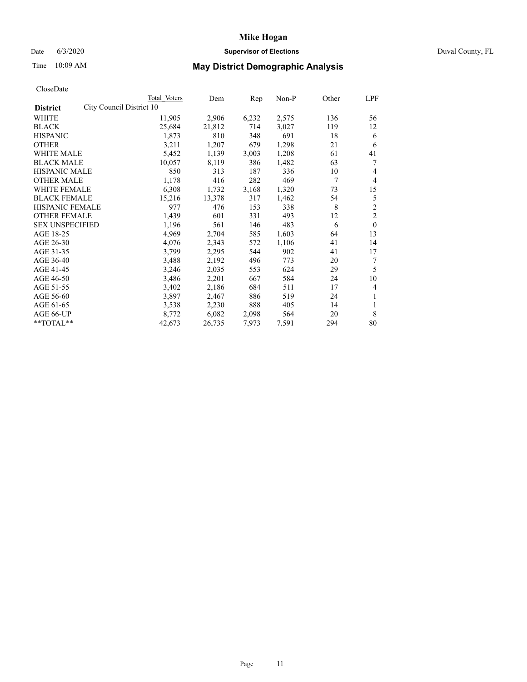#### Date 6/3/2020 **Supervisor of Elections Supervisor of Elections** Duval County, FL

# Time 10:09 AM **May District Demographic Analysis**

|                                             | Total Voters | Dem    | Rep   | Non-P | Other | LPF            |
|---------------------------------------------|--------------|--------|-------|-------|-------|----------------|
| City Council District 10<br><b>District</b> |              |        |       |       |       |                |
| WHITE                                       | 11,905       | 2,906  | 6,232 | 2,575 | 136   | 56             |
| <b>BLACK</b>                                | 25,684       | 21,812 | 714   | 3,027 | 119   | 12             |
| <b>HISPANIC</b>                             | 1,873        | 810    | 348   | 691   | 18    | 6              |
| <b>OTHER</b>                                | 3,211        | 1,207  | 679   | 1,298 | 21    | 6              |
| WHITE MALE                                  | 5,452        | 1,139  | 3,003 | 1,208 | 61    | 41             |
| <b>BLACK MALE</b>                           | 10,057       | 8,119  | 386   | 1,482 | 63    | 7              |
| <b>HISPANIC MALE</b>                        | 850          | 313    | 187   | 336   | 10    | 4              |
| <b>OTHER MALE</b>                           | 1,178        | 416    | 282   | 469   | 7     | $\overline{4}$ |
| WHITE FEMALE                                | 6,308        | 1,732  | 3,168 | 1,320 | 73    | 15             |
| <b>BLACK FEMALE</b>                         | 15,216       | 13,378 | 317   | 1,462 | 54    | 5              |
| <b>HISPANIC FEMALE</b>                      | 977          | 476    | 153   | 338   | 8     | $\overline{2}$ |
| <b>OTHER FEMALE</b>                         | 1,439        | 601    | 331   | 493   | 12    | $\overline{2}$ |
| <b>SEX UNSPECIFIED</b>                      | 1,196        | 561    | 146   | 483   | 6     | $\theta$       |
| AGE 18-25                                   | 4,969        | 2,704  | 585   | 1,603 | 64    | 13             |
| AGE 26-30                                   | 4,076        | 2,343  | 572   | 1,106 | 41    | 14             |
| AGE 31-35                                   | 3,799        | 2,295  | 544   | 902   | 41    | 17             |
| AGE 36-40                                   | 3,488        | 2,192  | 496   | 773   | 20    | 7              |
| AGE 41-45                                   | 3,246        | 2,035  | 553   | 624   | 29    | 5              |
| AGE 46-50                                   | 3,486        | 2,201  | 667   | 584   | 24    | 10             |
| AGE 51-55                                   | 3,402        | 2,186  | 684   | 511   | 17    | 4              |
| AGE 56-60                                   | 3,897        | 2,467  | 886   | 519   | 24    | 1              |
| AGE 61-65                                   | 3,538        | 2,230  | 888   | 405   | 14    | 1              |
| AGE 66-UP                                   | 8,772        | 6,082  | 2,098 | 564   | 20    | 8              |
| $*$ $TOTAL**$                               | 42,673       | 26,735 | 7,973 | 7,591 | 294   | 80             |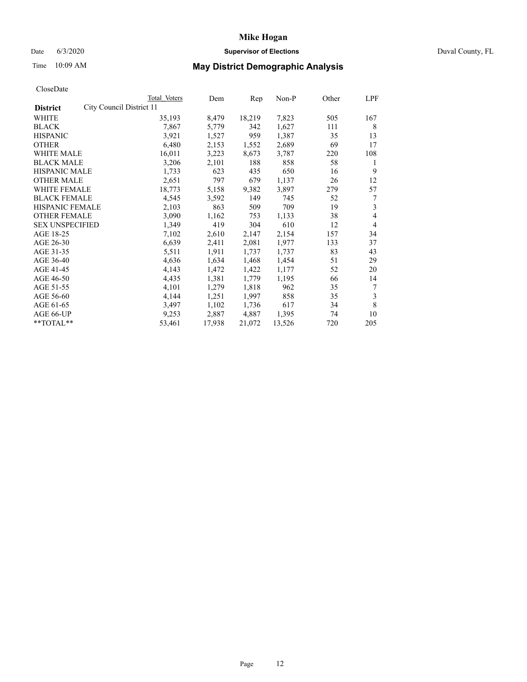## Date 6/3/2020 **Supervisor of Elections** Duval County, FL

# Time 10:09 AM **May District Demographic Analysis**

|                                             | Total Voters | Dem    | Rep    | Non-P  | Other | LPF |
|---------------------------------------------|--------------|--------|--------|--------|-------|-----|
| City Council District 11<br><b>District</b> |              |        |        |        |       |     |
| WHITE                                       | 35,193       | 8,479  | 18,219 | 7,823  | 505   | 167 |
| <b>BLACK</b>                                | 7,867        | 5,779  | 342    | 1,627  | 111   | 8   |
| <b>HISPANIC</b>                             | 3,921        | 1,527  | 959    | 1,387  | 35    | 13  |
| <b>OTHER</b>                                | 6,480        | 2,153  | 1,552  | 2,689  | 69    | 17  |
| WHITE MALE                                  | 16,011       | 3,223  | 8,673  | 3,787  | 220   | 108 |
| <b>BLACK MALE</b>                           | 3,206        | 2,101  | 188    | 858    | 58    | 1   |
| <b>HISPANIC MALE</b>                        | 1,733        | 623    | 435    | 650    | 16    | 9   |
| <b>OTHER MALE</b>                           | 2,651        | 797    | 679    | 1,137  | 26    | 12  |
| <b>WHITE FEMALE</b>                         | 18,773       | 5,158  | 9,382  | 3,897  | 279   | 57  |
| <b>BLACK FEMALE</b>                         | 4,545        | 3,592  | 149    | 745    | 52    | 7   |
| <b>HISPANIC FEMALE</b>                      | 2,103        | 863    | 509    | 709    | 19    | 3   |
| <b>OTHER FEMALE</b>                         | 3,090        | 1,162  | 753    | 1,133  | 38    | 4   |
| <b>SEX UNSPECIFIED</b>                      | 1,349        | 419    | 304    | 610    | 12    | 4   |
| AGE 18-25                                   | 7,102        | 2,610  | 2,147  | 2,154  | 157   | 34  |
| AGE 26-30                                   | 6,639        | 2,411  | 2,081  | 1,977  | 133   | 37  |
| AGE 31-35                                   | 5,511        | 1,911  | 1,737  | 1,737  | 83    | 43  |
| AGE 36-40                                   | 4,636        | 1,634  | 1,468  | 1,454  | 51    | 29  |
| AGE 41-45                                   | 4,143        | 1,472  | 1,422  | 1,177  | 52    | 20  |
| AGE 46-50                                   | 4,435        | 1,381  | 1,779  | 1,195  | 66    | 14  |
| AGE 51-55                                   | 4,101        | 1,279  | 1,818  | 962    | 35    | 7   |
| AGE 56-60                                   | 4,144        | 1,251  | 1,997  | 858    | 35    | 3   |
| AGE 61-65                                   | 3,497        | 1,102  | 1,736  | 617    | 34    | 8   |
| AGE 66-UP                                   | 9,253        | 2,887  | 4,887  | 1,395  | 74    | 10  |
| **TOTAL**                                   | 53,461       | 17,938 | 21,072 | 13,526 | 720   | 205 |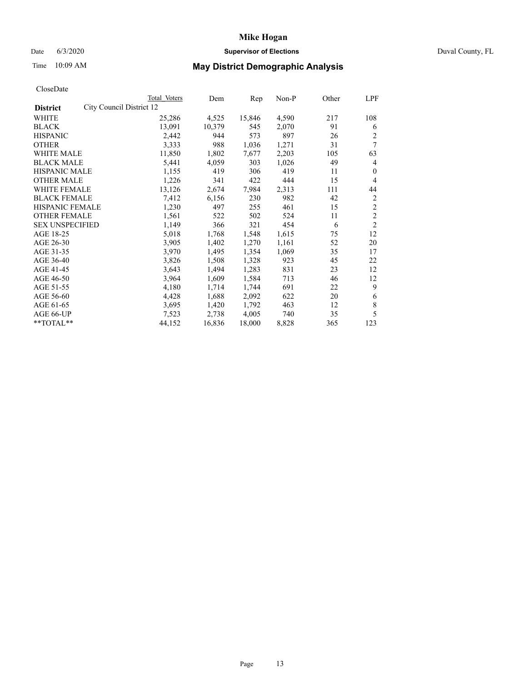#### Date 6/3/2020 **Supervisor of Elections Supervisor of Elections** Duval County, FL

# Time 10:09 AM **May District Demographic Analysis**

|                                             | Total Voters | Dem    | Rep    | $Non-P$ | Other | LPF            |
|---------------------------------------------|--------------|--------|--------|---------|-------|----------------|
| City Council District 12<br><b>District</b> |              |        |        |         |       |                |
| WHITE                                       | 25,286       | 4,525  | 15,846 | 4,590   | 217   | 108            |
| <b>BLACK</b>                                | 13,091       | 10,379 | 545    | 2,070   | 91    | 6              |
| <b>HISPANIC</b>                             | 2,442        | 944    | 573    | 897     | 26    | 2              |
| <b>OTHER</b>                                | 3,333        | 988    | 1,036  | 1,271   | 31    | 7              |
| WHITE MALE                                  | 11,850       | 1,802  | 7,677  | 2,203   | 105   | 63             |
| <b>BLACK MALE</b>                           | 5,441        | 4,059  | 303    | 1,026   | 49    | 4              |
| <b>HISPANIC MALE</b>                        | 1,155        | 419    | 306    | 419     | 11    | $\theta$       |
| <b>OTHER MALE</b>                           | 1,226        | 341    | 422    | 444     | 15    | 4              |
| WHITE FEMALE                                | 13,126       | 2,674  | 7,984  | 2,313   | 111   | 44             |
| <b>BLACK FEMALE</b>                         | 7,412        | 6,156  | 230    | 982     | 42    | 2              |
| HISPANIC FEMALE                             | 1,230        | 497    | 255    | 461     | 15    | 2              |
| <b>OTHER FEMALE</b>                         | 1,561        | 522    | 502    | 524     | 11    | $\overline{c}$ |
| <b>SEX UNSPECIFIED</b>                      | 1,149        | 366    | 321    | 454     | 6     | $\overline{c}$ |
| AGE 18-25                                   | 5,018        | 1,768  | 1,548  | 1,615   | 75    | 12             |
| AGE 26-30                                   | 3,905        | 1,402  | 1,270  | 1,161   | 52    | 20             |
| AGE 31-35                                   | 3,970        | 1,495  | 1,354  | 1,069   | 35    | 17             |
| AGE 36-40                                   | 3,826        | 1,508  | 1,328  | 923     | 45    | 22             |
| AGE 41-45                                   | 3,643        | 1,494  | 1,283  | 831     | 23    | 12             |
| AGE 46-50                                   | 3,964        | 1,609  | 1,584  | 713     | 46    | 12             |
| AGE 51-55                                   | 4,180        | 1,714  | 1,744  | 691     | 22    | 9              |
| AGE 56-60                                   | 4,428        | 1,688  | 2,092  | 622     | 20    | 6              |
| AGE 61-65                                   | 3,695        | 1,420  | 1,792  | 463     | 12    | 8              |
| AGE 66-UP                                   | 7,523        | 2,738  | 4,005  | 740     | 35    | 5              |
| **TOTAL**                                   | 44,152       | 16,836 | 18,000 | 8,828   | 365   | 123            |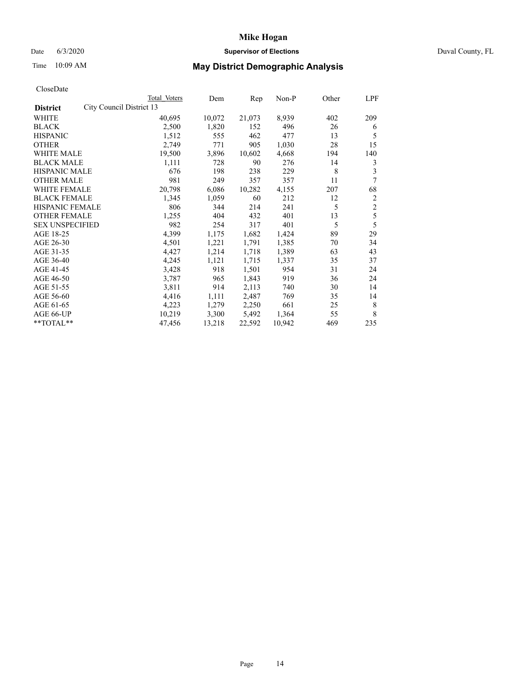## Date 6/3/2020 **Supervisor of Elections** Duval County, FL

# Time 10:09 AM **May District Demographic Analysis**

|                        |                          | Total Voters | Dem    | Rep    | Non-P  | Other | LPF            |
|------------------------|--------------------------|--------------|--------|--------|--------|-------|----------------|
| <b>District</b>        | City Council District 13 |              |        |        |        |       |                |
| WHITE                  |                          | 40,695       | 10,072 | 21,073 | 8,939  | 402   | 209            |
| <b>BLACK</b>           |                          | 2,500        | 1,820  | 152    | 496    | 26    | 6              |
| <b>HISPANIC</b>        |                          | 1,512        | 555    | 462    | 477    | 13    | 5              |
| <b>OTHER</b>           |                          | 2,749        | 771    | 905    | 1,030  | 28    | 15             |
| WHITE MALE             |                          | 19,500       | 3,896  | 10,602 | 4,668  | 194   | 140            |
| <b>BLACK MALE</b>      |                          | 1,111        | 728    | 90     | 276    | 14    | 3              |
| <b>HISPANIC MALE</b>   |                          | 676          | 198    | 238    | 229    | 8     | 3              |
| <b>OTHER MALE</b>      |                          | 981          | 249    | 357    | 357    | 11    | 7              |
| WHITE FEMALE           |                          | 20,798       | 6,086  | 10,282 | 4,155  | 207   | 68             |
| <b>BLACK FEMALE</b>    |                          | 1,345        | 1,059  | 60     | 212    | 12    | $\overline{2}$ |
| HISPANIC FEMALE        |                          | 806          | 344    | 214    | 241    | 5     | $\mathfrak{2}$ |
| <b>OTHER FEMALE</b>    |                          | 1,255        | 404    | 432    | 401    | 13    | 5              |
| <b>SEX UNSPECIFIED</b> |                          | 982          | 254    | 317    | 401    | 5     | 5              |
| AGE 18-25              |                          | 4,399        | 1,175  | 1,682  | 1,424  | 89    | 29             |
| AGE 26-30              |                          | 4,501        | 1,221  | 1,791  | 1,385  | 70    | 34             |
| AGE 31-35              |                          | 4,427        | 1,214  | 1,718  | 1,389  | 63    | 43             |
| AGE 36-40              |                          | 4,245        | 1,121  | 1,715  | 1,337  | 35    | 37             |
| AGE 41-45              |                          | 3,428        | 918    | 1,501  | 954    | 31    | 24             |
| AGE 46-50              |                          | 3,787        | 965    | 1,843  | 919    | 36    | 24             |
| AGE 51-55              |                          | 3,811        | 914    | 2,113  | 740    | 30    | 14             |
| AGE 56-60              |                          | 4,416        | 1,111  | 2,487  | 769    | 35    | 14             |
| AGE 61-65              |                          | 4,223        | 1,279  | 2,250  | 661    | 25    | 8              |
| AGE 66-UP              |                          | 10,219       | 3,300  | 5,492  | 1,364  | 55    | 8              |
| **TOTAL**              |                          | 47,456       | 13,218 | 22,592 | 10,942 | 469   | 235            |
|                        |                          |              |        |        |        |       |                |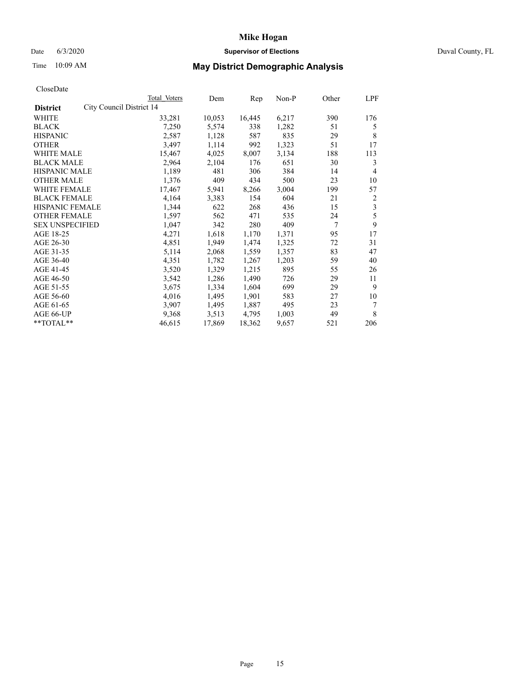## Date 6/3/2020 **Supervisor of Elections** Duval County, FL

# Time 10:09 AM **May District Demographic Analysis**

| Total Voters | Dem                      | Rep    | Non-P | Other | LPF            |
|--------------|--------------------------|--------|-------|-------|----------------|
|              |                          |        |       |       |                |
| 33,281       | 10,053                   | 16,445 | 6,217 | 390   | 176            |
| 7,250        | 5,574                    | 338    | 1,282 | 51    | 5              |
| 2,587        | 1,128                    | 587    | 835   | 29    | 8              |
| 3,497        | 1,114                    | 992    | 1,323 | 51    | 17             |
| 15,467       | 4,025                    | 8,007  | 3,134 | 188   | 113            |
| 2,964        | 2,104                    | 176    | 651   | 30    | 3              |
| 1,189        | 481                      | 306    | 384   | 14    | 4              |
| 1,376        | 409                      | 434    | 500   | 23    | 10             |
| 17,467       | 5,941                    | 8,266  | 3,004 | 199   | 57             |
| 4,164        | 3,383                    | 154    | 604   | 21    | $\overline{2}$ |
| 1,344        | 622                      | 268    | 436   | 15    | 3              |
| 1,597        | 562                      | 471    | 535   | 24    | 5              |
| 1,047        | 342                      | 280    | 409   | 7     | 9              |
| 4,271        | 1,618                    | 1,170  | 1,371 | 95    | 17             |
| 4,851        | 1,949                    | 1,474  | 1,325 | 72    | 31             |
| 5,114        | 2,068                    | 1,559  | 1,357 | 83    | 47             |
| 4,351        | 1,782                    | 1,267  | 1,203 | 59    | 40             |
| 3,520        | 1,329                    | 1,215  | 895   | 55    | 26             |
| 3,542        | 1,286                    | 1,490  | 726   | 29    | 11             |
| 3,675        | 1,334                    | 1,604  | 699   | 29    | 9              |
| 4,016        | 1,495                    | 1,901  | 583   | 27    | 10             |
| 3,907        | 1,495                    | 1,887  | 495   | 23    | 7              |
| 9,368        | 3,513                    | 4,795  | 1,003 | 49    | 8              |
| 46,615       | 17,869                   | 18,362 | 9,657 | 521   | 206            |
|              | City Council District 14 |        |       |       |                |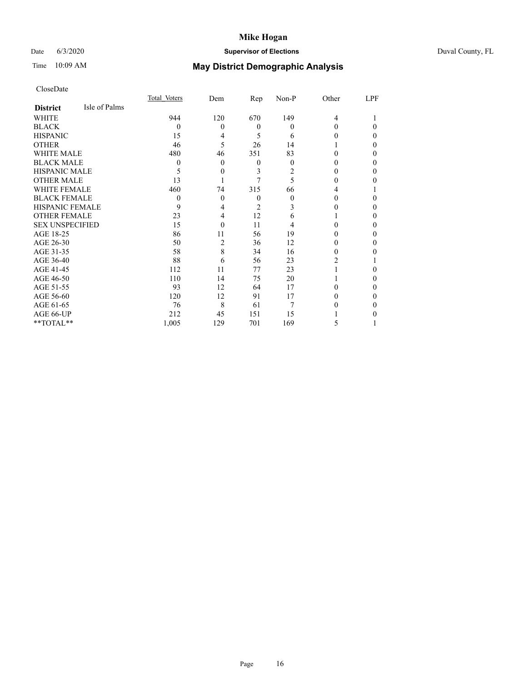# Date 6/3/2020 **Supervisor of Elections** Duval County, FL

# Time 10:09 AM **May District Demographic Analysis**

|                        |               | Total Voters | Dem | <u>Rep</u> | Non-P | Other | LPF      |
|------------------------|---------------|--------------|-----|------------|-------|-------|----------|
| <b>District</b>        | Isle of Palms |              |     |            |       |       |          |
| WHITE                  |               | 944          | 120 | 670        | 149   | 4     |          |
| <b>BLACK</b>           |               | $\Omega$     | 0   | $\theta$   | 0     | 0     | $\Omega$ |
| <b>HISPANIC</b>        |               | 15           | 4   | 5          | 6     | 0     | $\theta$ |
| <b>OTHER</b>           |               | 46           | 5   | 26         | 14    |       | $\Omega$ |
| <b>WHITE MALE</b>      |               | 480          | 46  | 351        | 83    | 0     | $\Omega$ |
| <b>BLACK MALE</b>      |               | $\theta$     | 0   | 0          | 0     |       | $\Omega$ |
| <b>HISPANIC MALE</b>   |               | 5            | 0   | 3          | 2     | 0     | $\Omega$ |
| <b>OTHER MALE</b>      |               | 13           |     | 7          | 5     | 0     | 0        |
| <b>WHITE FEMALE</b>    |               | 460          | 74  | 315        | 66    | 4     |          |
| <b>BLACK FEMALE</b>    |               | $\theta$     | 0   | $\theta$   | 0     | 0     | 0        |
| <b>HISPANIC FEMALE</b> |               | 9            | 4   | 2          |       |       | $\Omega$ |
| <b>OTHER FEMALE</b>    |               | 23           | 4   | 12         | 6     |       | $\Omega$ |
| <b>SEX UNSPECIFIED</b> |               | 15           | 0   | 11         |       |       | $\Omega$ |
| AGE 18-25              |               | 86           | 11  | 56         | 19    |       | $\Omega$ |
| AGE 26-30              |               | 50           | 2   | 36         | 12    | 0     | $\Omega$ |
| AGE 31-35              |               | 58           | 8   | 34         | 16    | 0     | 0        |
| AGE 36-40              |               | 88           | 6   | 56         | 23    | 2     |          |
| AGE 41-45              |               | 112          | 11  | 77         | 23    |       | 0        |
| AGE 46-50              |               | 110          | 14  | 75         | 20    |       | $\Omega$ |
| AGE 51-55              |               | 93           | 12  | 64         | 17    | 0     | $\Omega$ |
| AGE 56-60              |               | 120          | 12  | 91         | 17    |       | $\Omega$ |
| AGE 61-65              |               | 76           | 8   | 61         | 7     |       | $\Omega$ |
| AGE 66-UP              |               | 212          | 45  | 151        | 15    |       | 0        |
| $**TOTAL**$            |               | 1,005        | 129 | 701        | 169   | 5     |          |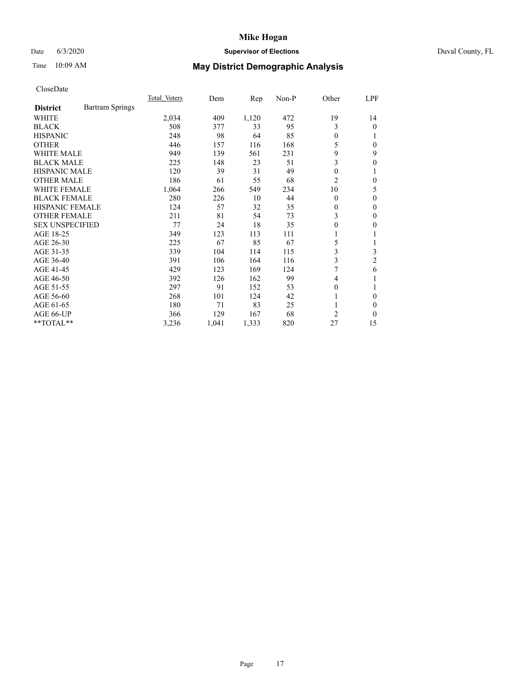#### Date 6/3/2020 **Supervisor of Elections Supervisor of Elections** Duval County, FL

# Time 10:09 AM **May District Demographic Analysis**

|                                           | Total Voters | Dem   | Rep   | $Non-P$ | Other          | <u>LPF</u>       |
|-------------------------------------------|--------------|-------|-------|---------|----------------|------------------|
| <b>Bartram Springs</b><br><b>District</b> |              |       |       |         |                |                  |
| WHITE                                     | 2,034        | 409   | 1,120 | 472     | 19             | 14               |
| <b>BLACK</b>                              | 508          | 377   | 33    | 95      | 3              | $\theta$         |
| <b>HISPANIC</b>                           | 248          | 98    | 64    | 85      | $\theta$       |                  |
| <b>OTHER</b>                              | 446          | 157   | 116   | 168     | 5              | $\theta$         |
| <b>WHITE MALE</b>                         | 949          | 139   | 561   | 231     | 9              | 9                |
| <b>BLACK MALE</b>                         | 225          | 148   | 23    | 51      | 3              | $\boldsymbol{0}$ |
| <b>HISPANIC MALE</b>                      | 120          | 39    | 31    | 49      | $\theta$       |                  |
| <b>OTHER MALE</b>                         | 186          | 61    | 55    | 68      | $\overline{2}$ | $\theta$         |
| WHITE FEMALE                              | 1,064        | 266   | 549   | 234     | 10             | 5                |
| <b>BLACK FEMALE</b>                       | 280          | 226   | 10    | 44      | $\theta$       | 0                |
| <b>HISPANIC FEMALE</b>                    | 124          | 57    | 32    | 35      | $\overline{0}$ | $\mathbf{0}$     |
| <b>OTHER FEMALE</b>                       | 211          | 81    | 54    | 73      | 3              | 0                |
| <b>SEX UNSPECIFIED</b>                    | 77           | 24    | 18    | 35      | $\mathbf{0}$   | 0                |
| AGE 18-25                                 | 349          | 123   | 113   | 111     | 1              |                  |
| AGE 26-30                                 | 225          | 67    | 85    | 67      | 5              |                  |
| AGE 31-35                                 | 339          | 104   | 114   | 115     | 3              | 3                |
| AGE 36-40                                 | 391          | 106   | 164   | 116     | 3              | $\overline{2}$   |
| AGE 41-45                                 | 429          | 123   | 169   | 124     | 7              | 6                |
| AGE 46-50                                 | 392          | 126   | 162   | 99      | 4              |                  |
| AGE 51-55                                 | 297          | 91    | 152   | 53      | $\theta$       |                  |
| AGE 56-60                                 | 268          | 101   | 124   | 42      | 1              | $\theta$         |
| AGE 61-65                                 | 180          | 71    | 83    | 25      |                | $\Omega$         |
| AGE 66-UP                                 | 366          | 129   | 167   | 68      | $\overline{2}$ | 0                |
| **TOTAL**                                 | 3,236        | 1,041 | 1,333 | 820     | 27             | 15               |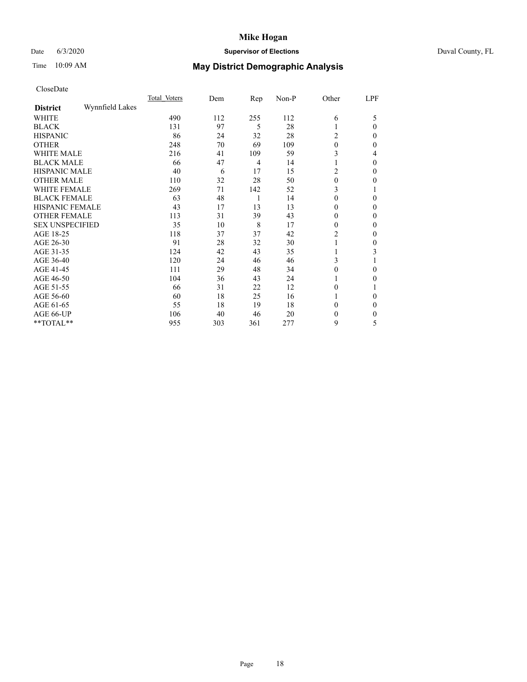## Date 6/3/2020 **Supervisor of Elections** Duval County, FL

# Time 10:09 AM **May District Demographic Analysis**

|                        |                 | Total Voters | Dem | Rep            | Non-P | Other        | LPF          |
|------------------------|-----------------|--------------|-----|----------------|-------|--------------|--------------|
| <b>District</b>        | Wynnfield Lakes |              |     |                |       |              |              |
| WHITE                  |                 | 490          | 112 | 255            | 112   | 6            | 5            |
| <b>BLACK</b>           |                 | 131          | 97  | 5              | 28    |              | $\Omega$     |
| <b>HISPANIC</b>        |                 | 86           | 24  | 32             | 28    | 2            | $\Omega$     |
| <b>OTHER</b>           |                 | 248          | 70  | 69             | 109   | $\theta$     | 0            |
| WHITE MALE             |                 | 216          | 41  | 109            | 59    | 3            | 4            |
| <b>BLACK MALE</b>      |                 | 66           | 47  | $\overline{4}$ | 14    |              | $\theta$     |
| <b>HISPANIC MALE</b>   |                 | 40           | 6   | 17             | 15    | 2            | $\theta$     |
| <b>OTHER MALE</b>      |                 | 110          | 32  | 28             | 50    | 0            | 0            |
| WHITE FEMALE           |                 | 269          | 71  | 142            | 52    | 3            |              |
| <b>BLACK FEMALE</b>    |                 | 63           | 48  | 1              | 14    | $\theta$     | $\Omega$     |
| <b>HISPANIC FEMALE</b> |                 | 43           | 17  | 13             | 13    | 0            | $\Omega$     |
| <b>OTHER FEMALE</b>    |                 | 113          | 31  | 39             | 43    | $\theta$     | $\Omega$     |
| <b>SEX UNSPECIFIED</b> |                 | 35           | 10  | 8              | 17    | $\theta$     | $\Omega$     |
| AGE 18-25              |                 | 118          | 37  | 37             | 42    | 2            | 0            |
| AGE 26-30              |                 | 91           | 28  | 32             | 30    |              | $\mathbf{0}$ |
| AGE 31-35              |                 | 124          | 42  | 43             | 35    |              | 3            |
| AGE 36-40              |                 | 120          | 24  | 46             | 46    | 3            |              |
| AGE 41-45              |                 | 111          | 29  | 48             | 34    | 0            | $\Omega$     |
| AGE 46-50              |                 | 104          | 36  | 43             | 24    |              | $\Omega$     |
| AGE 51-55              |                 | 66           | 31  | 22             | 12    | $\theta$     |              |
| AGE 56-60              |                 | 60           | 18  | 25             | 16    |              | 0            |
| AGE 61-65              |                 | 55           | 18  | 19             | 18    | 0            | $\theta$     |
| AGE 66-UP              |                 | 106          | 40  | 46             | 20    | $\mathbf{0}$ | $\Omega$     |
| **TOTAL**              |                 | 955          | 303 | 361            | 277   | 9            | 5            |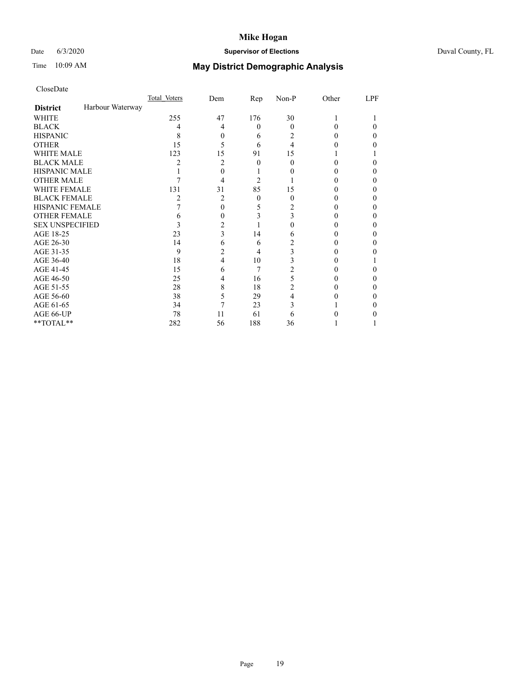## Date 6/3/2020 **Supervisor of Elections** Duval County, FL

# Time 10:09 AM **May District Demographic Analysis**

|                        |                  | Total Voters | Dem | Rep      | Non-P | Other | LPF |
|------------------------|------------------|--------------|-----|----------|-------|-------|-----|
| <b>District</b>        | Harbour Waterway |              |     |          |       |       |     |
| WHITE                  |                  | 255          | 47  | 176      | 30    |       |     |
| <b>BLACK</b>           |                  | 4            | 4   | $\theta$ | 0     | 0     | 0   |
| <b>HISPANIC</b>        |                  | 8            | 0   | 6        | 2     | 0     | 0   |
| <b>OTHER</b>           |                  | 15           | 5   | 6        | 4     |       |     |
| WHITE MALE             |                  | 123          | 15  | 91       | 15    |       |     |
| <b>BLACK MALE</b>      |                  | 2            | 2   | 0        | 0     | 0     |     |
| <b>HISPANIC MALE</b>   |                  |              | 0   |          |       |       |     |
| <b>OTHER MALE</b>      |                  |              | 4   | 2        |       |       | 0   |
| <b>WHITE FEMALE</b>    |                  | 131          | 31  | 85       | 15    |       |     |
| <b>BLACK FEMALE</b>    |                  | 2            | 2   | $\theta$ | 0     | 0     | 0   |
| <b>HISPANIC FEMALE</b> |                  |              | 0   | 5        | 2     |       |     |
| <b>OTHER FEMALE</b>    |                  | 6            | 0   |          | 3     |       |     |
| <b>SEX UNSPECIFIED</b> |                  | 3            | 2   |          |       |       |     |
| AGE 18-25              |                  | 23           | 3   | 14       | 6     |       |     |
| AGE 26-30              |                  | 14           | 6   | 6        | 2     |       | 0   |
| AGE 31-35              |                  | 9            | 2   | 4        | 3     |       |     |
| AGE 36-40              |                  | 18           | 4   | 10       | 3     |       |     |
| AGE 41-45              |                  | 15           | 6   | 7        | 2     |       |     |
| AGE 46-50              |                  | 25           | 4   | 16       | 5     |       | 0   |
| AGE 51-55              |                  | 28           | 8   | 18       | 2     |       |     |
| AGE 56-60              |                  | 38           | 5   | 29       |       |       |     |
| AGE 61-65              |                  | 34           | 7   | 23       | 3     |       |     |
| AGE 66-UP              |                  | 78           | 11  | 61       | 6     |       |     |
| **TOTAL**              |                  | 282          | 56  | 188      | 36    |       |     |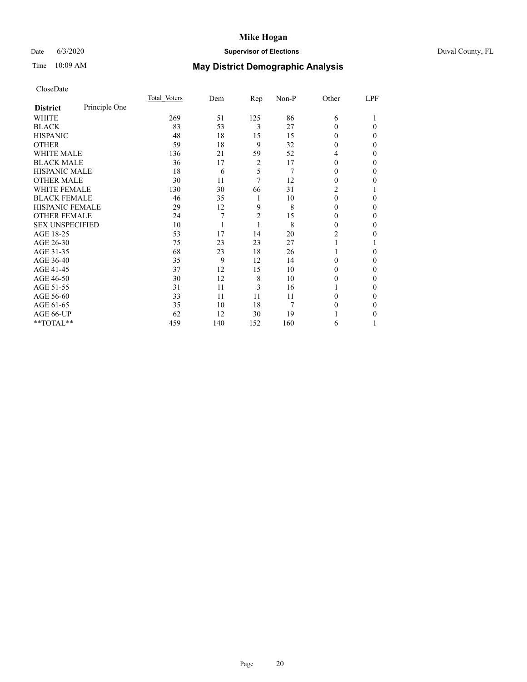## Date 6/3/2020 **Supervisor of Elections** Duval County, FL

# Time 10:09 AM **May District Demographic Analysis**

|                        |               | Total Voters | Dem | Rep            | Non-P | Other          | LPF |
|------------------------|---------------|--------------|-----|----------------|-------|----------------|-----|
| <b>District</b>        | Principle One |              |     |                |       |                |     |
| WHITE                  |               | 269          | 51  | 125            | 86    | 6              |     |
| <b>BLACK</b>           |               | 83           | 53  | 3              | 27    | 0              | 0   |
| <b>HISPANIC</b>        |               | 48           | 18  | 15             | 15    | 0              | 0   |
| <b>OTHER</b>           |               | 59           | 18  | 9              | 32    | $_{0}$         | 0   |
| <b>WHITE MALE</b>      |               | 136          | 21  | 59             | 52    | 4              | 0   |
| <b>BLACK MALE</b>      |               | 36           | 17  | 2              | 17    | 0              | 0   |
| <b>HISPANIC MALE</b>   |               | 18           | 6   | 5              | 7     | $_{0}$         | 0   |
| <b>OTHER MALE</b>      |               | 30           | 11  | 7              | 12    | 0              | 0   |
| <b>WHITE FEMALE</b>    |               | 130          | 30  | 66             | 31    | 2              |     |
| <b>BLACK FEMALE</b>    |               | 46           | 35  | 1              | 10    | 0              | 0   |
| HISPANIC FEMALE        |               | 29           | 12  | 9              | 8     | 0              | 0   |
| <b>OTHER FEMALE</b>    |               | 24           | 7   | $\overline{2}$ | 15    | 0              | 0   |
| <b>SEX UNSPECIFIED</b> |               | 10           |     | 1              | 8     | 0              | 0   |
| AGE 18-25              |               | 53           | 17  | 14             | 20    | $\overline{c}$ | 0   |
| AGE 26-30              |               | 75           | 23  | 23             | 27    |                |     |
| AGE 31-35              |               | 68           | 23  | 18             | 26    |                | 0   |
| AGE 36-40              |               | 35           | 9   | 12             | 14    | 0              | 0   |
| AGE 41-45              |               | 37           | 12  | 15             | 10    | 0              | 0   |
| AGE 46-50              |               | 30           | 12  | 8              | 10    | 0              | 0   |
| AGE 51-55              |               | 31           | 11  | 3              | 16    |                | 0   |
| AGE 56-60              |               | 33           | 11  | 11             | 11    | 0              | 0   |
| AGE 61-65              |               | 35           | 10  | 18             | 7     | $_{0}$         | 0   |
| AGE 66-UP              |               | 62           | 12  | 30             | 19    |                | 0   |
| **TOTAL**              |               | 459          | 140 | 152            | 160   | 6              |     |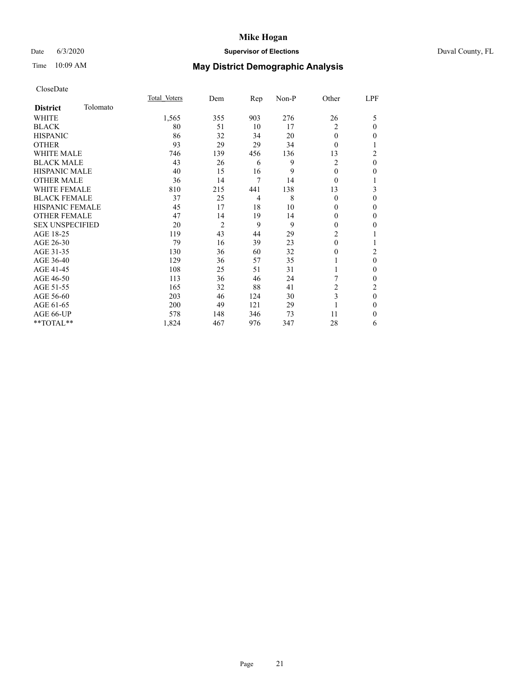# Date 6/3/2020 **Supervisor of Elections** Duval County, FL

# Time 10:09 AM **May District Demographic Analysis**

|                        |          | Total Voters | Dem            | Rep            | Non-P | Other          | LPF            |
|------------------------|----------|--------------|----------------|----------------|-------|----------------|----------------|
| <b>District</b>        | Tolomato |              |                |                |       |                |                |
| WHITE                  |          | 1,565        | 355            | 903            | 276   | 26             | 5              |
| <b>BLACK</b>           |          | 80           | 51             | 10             | 17    | 2              | $\theta$       |
| <b>HISPANIC</b>        |          | 86           | 32             | 34             | 20    | $\theta$       | $\theta$       |
| <b>OTHER</b>           |          | 93           | 29             | 29             | 34    | $\Omega$       |                |
| WHITE MALE             |          | 746          | 139            | 456            | 136   | 13             | $\overline{c}$ |
| <b>BLACK MALE</b>      |          | 43           | 26             | 6              | 9     | $\overline{c}$ | $\mathbf{0}$   |
| HISPANIC MALE          |          | 40           | 15             | 16             | 9     | $\theta$       | $\Omega$       |
| <b>OTHER MALE</b>      |          | 36           | 14             | 7              | 14    | $\theta$       |                |
| WHITE FEMALE           |          | 810          | 215            | 441            | 138   | 13             | 3              |
| <b>BLACK FEMALE</b>    |          | 37           | 25             | $\overline{4}$ | 8     | $\theta$       | $\theta$       |
| <b>HISPANIC FEMALE</b> |          | 45           | 17             | 18             | 10    | 0              | $\theta$       |
| <b>OTHER FEMALE</b>    |          | 47           | 14             | 19             | 14    | $\Omega$       | $\theta$       |
| <b>SEX UNSPECIFIED</b> |          | 20           | $\overline{2}$ | 9              | 9     | $\Omega$       | 0              |
| AGE 18-25              |          | 119          | 43             | 44             | 29    | $\overline{c}$ |                |
| AGE 26-30              |          | 79           | 16             | 39             | 23    | $\mathbf{0}$   |                |
| AGE 31-35              |          | 130          | 36             | 60             | 32    | 0              | 2              |
| AGE 36-40              |          | 129          | 36             | 57             | 35    |                | $\theta$       |
| AGE 41-45              |          | 108          | 25             | 51             | 31    |                | $\theta$       |
| AGE 46-50              |          | 113          | 36             | 46             | 24    | 7              | $\theta$       |
| AGE 51-55              |          | 165          | 32             | 88             | 41    | $\overline{c}$ | 2              |
| AGE 56-60              |          | 203          | 46             | 124            | 30    | 3              | $\theta$       |
| AGE 61-65              |          | 200          | 49             | 121            | 29    |                | $\theta$       |
| AGE 66-UP              |          | 578          | 148            | 346            | 73    | 11             | $\Omega$       |
| **TOTAL**              |          | 1,824        | 467            | 976            | 347   | 28             | 6              |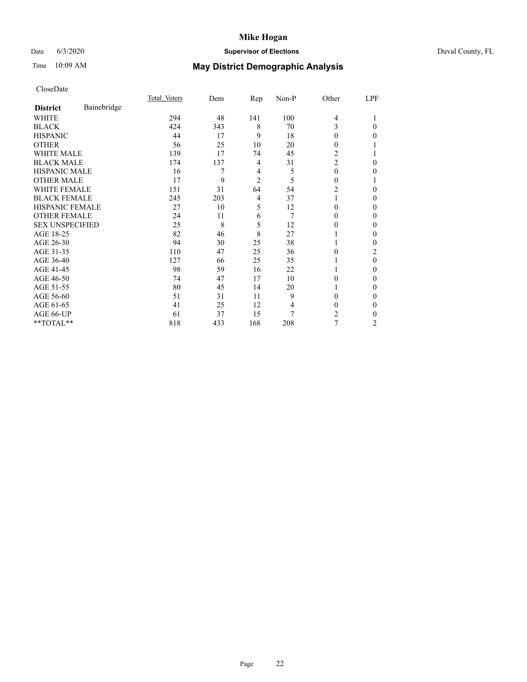## Date 6/3/2020 **Supervisor of Elections** Duval County, FL

# Time 10:09 AM **May District Demographic Analysis**

|                        |             | Total Voters | Dem | Rep            | Non-P | Other          | LPF    |
|------------------------|-------------|--------------|-----|----------------|-------|----------------|--------|
| <b>District</b>        | Bainebridge |              |     |                |       |                |        |
| WHITE                  |             | 294          | 48  | 141            | 100   | $\overline{4}$ |        |
| <b>BLACK</b>           |             | 424          | 343 | 8              | 70    | 3              | 0      |
| <b>HISPANIC</b>        |             | 44           | 17  | 9              | 18    | 0              | 0      |
| <b>OTHER</b>           |             | 56           | 25  | 10             | 20    | 0              |        |
| <b>WHITE MALE</b>      |             | 139          | 17  | 74             | 45    | 2              |        |
| <b>BLACK MALE</b>      |             | 174          | 137 | 4              | 31    | $\overline{c}$ | 0      |
| <b>HISPANIC MALE</b>   |             | 16           | 7   | 4              | 5     | $\theta$       | 0      |
| <b>OTHER MALE</b>      |             | 17           | 9   | $\overline{2}$ | 5     | $\theta$       |        |
| <b>WHITE FEMALE</b>    |             | 151          | 31  | 64             | 54    | 2              | 0      |
| <b>BLACK FEMALE</b>    |             | 245          | 203 | 4              | 37    | 1              | 0      |
| <b>HISPANIC FEMALE</b> |             | 27           | 10  | 5              | 12    | 0              | 0      |
| <b>OTHER FEMALE</b>    |             | 24           | 11  | 6              | 7     | $\theta$       | 0      |
| <b>SEX UNSPECIFIED</b> |             | 25           | 8   | 5              | 12    | 0              | 0      |
| AGE 18-25              |             | 82           | 46  | 8              | 27    |                | 0      |
| AGE 26-30              |             | 94           | 30  | 25             | 38    |                | 0      |
| AGE 31-35              |             | 110          | 47  | 25             | 36    | 0              | 2      |
| AGE 36-40              |             | 127          | 66  | 25             | 35    |                | 0      |
| AGE 41-45              |             | 98           | 59  | 16             | 22    |                | 0      |
| AGE 46-50              |             | 74           | 47  | 17             | 10    | $\Omega$       | 0      |
| AGE 51-55              |             | 80           | 45  | 14             | 20    |                | 0      |
| AGE 56-60              |             | 51           | 31  | 11             | 9     | 0              | 0      |
| AGE 61-65              |             | 41           | 25  | 12             | 4     | $\theta$       | $_{0}$ |
| AGE 66-UP              |             | 61           | 37  | 15             | 7     | 2              | 0      |
| **TOTAL**              |             | 818          | 433 | 168            | 208   | 7              | 2      |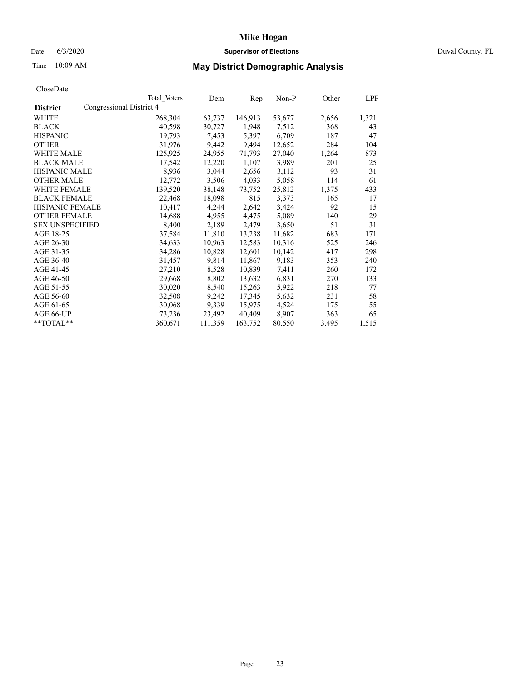## Date 6/3/2020 **Supervisor of Elections** Duval County, FL

# Time 10:09 AM **May District Demographic Analysis**

|                        |                          | Total Voters | Dem     | Rep     | Non-P  | Other | LPF   |
|------------------------|--------------------------|--------------|---------|---------|--------|-------|-------|
| <b>District</b>        | Congressional District 4 |              |         |         |        |       |       |
| WHITE                  |                          | 268,304      | 63,737  | 146,913 | 53,677 | 2,656 | 1,321 |
| <b>BLACK</b>           |                          | 40,598       | 30,727  | 1,948   | 7,512  | 368   | 43    |
| <b>HISPANIC</b>        |                          | 19,793       | 7,453   | 5,397   | 6,709  | 187   | 47    |
| <b>OTHER</b>           |                          | 31,976       | 9,442   | 9,494   | 12,652 | 284   | 104   |
| WHITE MALE             |                          | 125,925      | 24,955  | 71,793  | 27,040 | 1,264 | 873   |
| <b>BLACK MALE</b>      |                          | 17,542       | 12,220  | 1,107   | 3,989  | 201   | 25    |
| <b>HISPANIC MALE</b>   |                          | 8,936        | 3,044   | 2,656   | 3,112  | 93    | 31    |
| <b>OTHER MALE</b>      |                          | 12,772       | 3,506   | 4,033   | 5,058  | 114   | 61    |
| <b>WHITE FEMALE</b>    |                          | 139,520      | 38,148  | 73,752  | 25,812 | 1,375 | 433   |
| <b>BLACK FEMALE</b>    |                          | 22,468       | 18,098  | 815     | 3,373  | 165   | 17    |
| <b>HISPANIC FEMALE</b> |                          | 10,417       | 4,244   | 2,642   | 3,424  | 92    | 15    |
| <b>OTHER FEMALE</b>    |                          | 14,688       | 4,955   | 4,475   | 5,089  | 140   | 29    |
| <b>SEX UNSPECIFIED</b> |                          | 8,400        | 2,189   | 2,479   | 3,650  | 51    | 31    |
| AGE 18-25              |                          | 37,584       | 11,810  | 13,238  | 11,682 | 683   | 171   |
| AGE 26-30              |                          | 34,633       | 10,963  | 12,583  | 10,316 | 525   | 246   |
| AGE 31-35              |                          | 34,286       | 10,828  | 12,601  | 10,142 | 417   | 298   |
| AGE 36-40              |                          | 31,457       | 9,814   | 11,867  | 9,183  | 353   | 240   |
| AGE 41-45              |                          | 27,210       | 8,528   | 10,839  | 7,411  | 260   | 172   |
| AGE 46-50              |                          | 29,668       | 8,802   | 13,632  | 6,831  | 270   | 133   |
| AGE 51-55              |                          | 30,020       | 8,540   | 15,263  | 5,922  | 218   | 77    |
| AGE 56-60              |                          | 32,508       | 9,242   | 17,345  | 5,632  | 231   | 58    |
| AGE 61-65              |                          | 30,068       | 9,339   | 15,975  | 4,524  | 175   | 55    |
| AGE 66-UP              |                          | 73,236       | 23,492  | 40,409  | 8,907  | 363   | 65    |
| $*$ $TOTAL**$          |                          | 360,671      | 111,359 | 163,752 | 80,550 | 3,495 | 1,515 |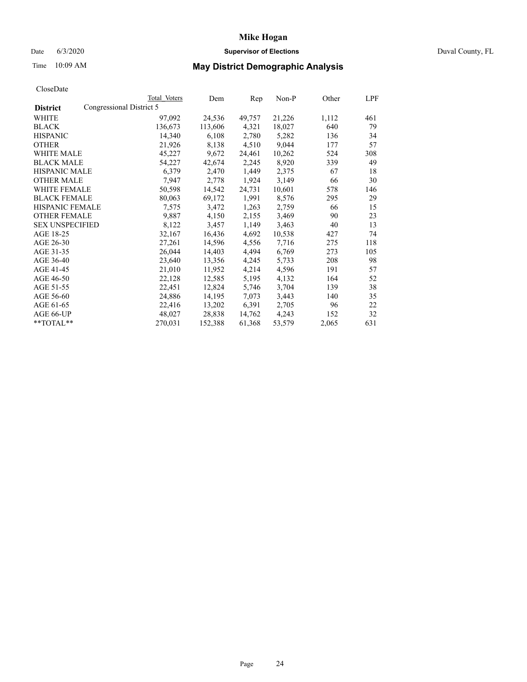## Date 6/3/2020 **Supervisor of Elections** Duval County, FL

# Time 10:09 AM **May District Demographic Analysis**

|                        |                          | Total Voters | Dem     | $\mathbf{Rep}$ | Non-P  | Other | LPF |
|------------------------|--------------------------|--------------|---------|----------------|--------|-------|-----|
| <b>District</b>        | Congressional District 5 |              |         |                |        |       |     |
| WHITE                  |                          | 97,092       | 24,536  | 49,757         | 21,226 | 1,112 | 461 |
| <b>BLACK</b>           |                          | 136,673      | 113,606 | 4,321          | 18,027 | 640   | 79  |
| <b>HISPANIC</b>        |                          | 14,340       | 6,108   | 2,780          | 5,282  | 136   | 34  |
| <b>OTHER</b>           |                          | 21,926       | 8,138   | 4,510          | 9,044  | 177   | 57  |
| WHITE MALE             |                          | 45,227       | 9,672   | 24,461         | 10,262 | 524   | 308 |
| <b>BLACK MALE</b>      |                          | 54,227       | 42,674  | 2,245          | 8,920  | 339   | 49  |
| <b>HISPANIC MALE</b>   |                          | 6,379        | 2,470   | 1,449          | 2,375  | 67    | 18  |
| <b>OTHER MALE</b>      |                          | 7,947        | 2,778   | 1,924          | 3,149  | 66    | 30  |
| <b>WHITE FEMALE</b>    |                          | 50,598       | 14,542  | 24,731         | 10,601 | 578   | 146 |
| <b>BLACK FEMALE</b>    |                          | 80,063       | 69,172  | 1,991          | 8,576  | 295   | 29  |
| <b>HISPANIC FEMALE</b> |                          | 7,575        | 3,472   | 1,263          | 2,759  | 66    | 15  |
| <b>OTHER FEMALE</b>    |                          | 9,887        | 4,150   | 2,155          | 3,469  | 90    | 23  |
| <b>SEX UNSPECIFIED</b> |                          | 8,122        | 3,457   | 1,149          | 3,463  | 40    | 13  |
| AGE 18-25              |                          | 32,167       | 16,436  | 4,692          | 10,538 | 427   | 74  |
| AGE 26-30              |                          | 27,261       | 14,596  | 4,556          | 7,716  | 275   | 118 |
| AGE 31-35              |                          | 26,044       | 14,403  | 4,494          | 6,769  | 273   | 105 |
| AGE 36-40              |                          | 23,640       | 13,356  | 4,245          | 5,733  | 208   | 98  |
| AGE 41-45              |                          | 21,010       | 11,952  | 4,214          | 4,596  | 191   | 57  |
| AGE 46-50              |                          | 22,128       | 12,585  | 5,195          | 4,132  | 164   | 52  |
| AGE 51-55              |                          | 22,451       | 12,824  | 5,746          | 3,704  | 139   | 38  |
| AGE 56-60              |                          | 24,886       | 14,195  | 7,073          | 3,443  | 140   | 35  |
| AGE 61-65              |                          | 22,416       | 13,202  | 6,391          | 2,705  | 96    | 22  |
| AGE 66-UP              |                          | 48,027       | 28,838  | 14,762         | 4,243  | 152   | 32  |
| $*$ TOTAL $*$          |                          | 270,031      | 152,388 | 61,368         | 53,579 | 2,065 | 631 |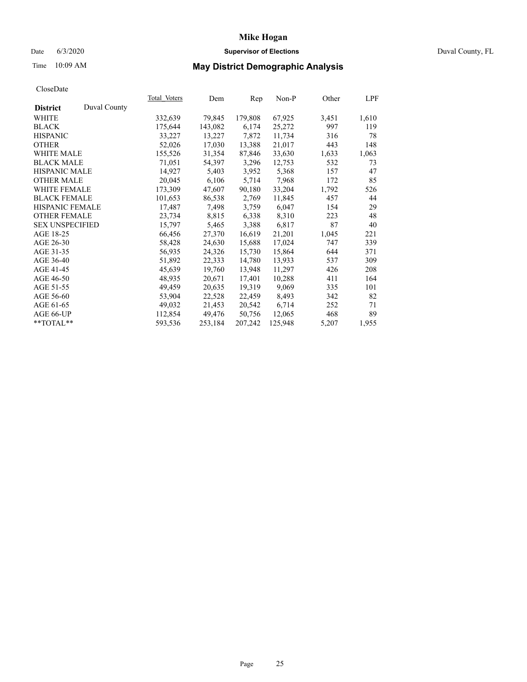## Date 6/3/2020 **Supervisor of Elections** Duval County, FL

# Time 10:09 AM **May District Demographic Analysis**

|                        |              | Total Voters | Dem     | Rep     | Non-P   | Other | LPF   |
|------------------------|--------------|--------------|---------|---------|---------|-------|-------|
| <b>District</b>        | Duval County |              |         |         |         |       |       |
| WHITE                  |              | 332,639      | 79,845  | 179,808 | 67,925  | 3,451 | 1,610 |
| <b>BLACK</b>           |              | 175,644      | 143,082 | 6,174   | 25,272  | 997   | 119   |
| <b>HISPANIC</b>        |              | 33,227       | 13,227  | 7,872   | 11,734  | 316   | 78    |
| <b>OTHER</b>           |              | 52,026       | 17,030  | 13,388  | 21,017  | 443   | 148   |
| <b>WHITE MALE</b>      |              | 155,526      | 31,354  | 87,846  | 33,630  | 1,633 | 1,063 |
| <b>BLACK MALE</b>      |              | 71,051       | 54,397  | 3,296   | 12,753  | 532   | 73    |
| <b>HISPANIC MALE</b>   |              | 14,927       | 5,403   | 3,952   | 5,368   | 157   | 47    |
| <b>OTHER MALE</b>      |              | 20,045       | 6,106   | 5,714   | 7,968   | 172   | 85    |
| <b>WHITE FEMALE</b>    |              | 173,309      | 47,607  | 90,180  | 33,204  | 1,792 | 526   |
| <b>BLACK FEMALE</b>    |              | 101,653      | 86,538  | 2,769   | 11,845  | 457   | 44    |
| HISPANIC FEMALE        |              | 17,487       | 7,498   | 3,759   | 6,047   | 154   | 29    |
| <b>OTHER FEMALE</b>    |              | 23,734       | 8,815   | 6,338   | 8,310   | 223   | 48    |
| <b>SEX UNSPECIFIED</b> |              | 15,797       | 5,465   | 3,388   | 6,817   | 87    | 40    |
| AGE 18-25              |              | 66,456       | 27,370  | 16,619  | 21,201  | 1,045 | 221   |
| AGE 26-30              |              | 58,428       | 24,630  | 15,688  | 17,024  | 747   | 339   |
| AGE 31-35              |              | 56,935       | 24,326  | 15,730  | 15,864  | 644   | 371   |
| AGE 36-40              |              | 51,892       | 22,333  | 14,780  | 13,933  | 537   | 309   |
| AGE 41-45              |              | 45,639       | 19,760  | 13,948  | 11,297  | 426   | 208   |
| AGE 46-50              |              | 48,935       | 20,671  | 17,401  | 10,288  | 411   | 164   |
| AGE 51-55              |              | 49,459       | 20,635  | 19,319  | 9,069   | 335   | 101   |
| AGE 56-60              |              | 53,904       | 22,528  | 22,459  | 8,493   | 342   | 82    |
| AGE 61-65              |              | 49,032       | 21,453  | 20,542  | 6,714   | 252   | 71    |
| AGE 66-UP              |              | 112,854      | 49,476  | 50,756  | 12,065  | 468   | 89    |
| $*$ $TOTAL**$          |              | 593,536      | 253,184 | 207,242 | 125,948 | 5,207 | 1,955 |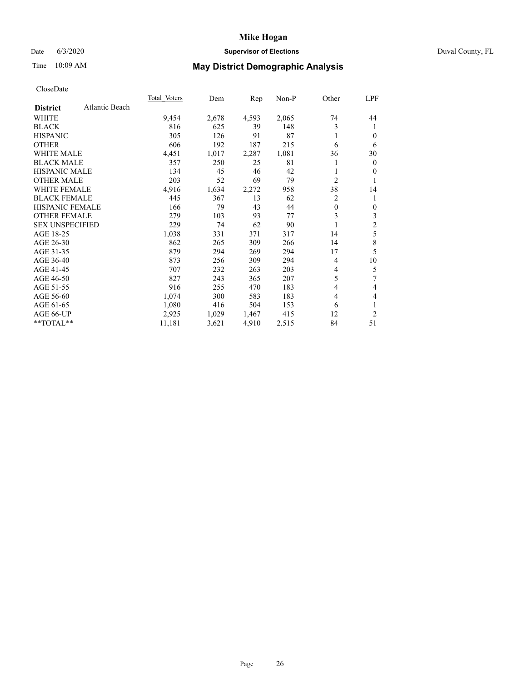#### Date 6/3/2020 **Supervisor of Elections Supervisor of Elections** Duval County, FL

# Time 10:09 AM **May District Demographic Analysis**

|                                   | Total Voters | Dem   | $\mathbf{Rep}$ | Non-P | Other          | LPF          |
|-----------------------------------|--------------|-------|----------------|-------|----------------|--------------|
| Atlantic Beach<br><b>District</b> |              |       |                |       |                |              |
| WHITE                             | 9,454        | 2,678 | 4,593          | 2,065 | 74             | 44           |
| <b>BLACK</b>                      | 816          | 625   | 39             | 148   | 3              | 1            |
| <b>HISPANIC</b>                   | 305          | 126   | 91             | 87    |                | $\theta$     |
| <b>OTHER</b>                      | 606          | 192   | 187            | 215   | 6              | 6            |
| <b>WHITE MALE</b>                 | 4,451        | 1,017 | 2,287          | 1,081 | 36             | 30           |
| <b>BLACK MALE</b>                 | 357          | 250   | 25             | 81    |                | $\mathbf{0}$ |
| <b>HISPANIC MALE</b>              | 134          | 45    | 46             | 42    |                | $\mathbf{0}$ |
| <b>OTHER MALE</b>                 | 203          | 52    | 69             | 79    | $\overline{2}$ | 1            |
| <b>WHITE FEMALE</b>               | 4,916        | 1,634 | 2,272          | 958   | 38             | 14           |
| <b>BLACK FEMALE</b>               | 445          | 367   | 13             | 62    | 2              | 1            |
| <b>HISPANIC FEMALE</b>            | 166          | 79    | 43             | 44    | $\theta$       | $\mathbf{0}$ |
| <b>OTHER FEMALE</b>               | 279          | 103   | 93             | 77    | 3              | 3            |
| <b>SEX UNSPECIFIED</b>            | 229          | 74    | 62             | 90    | 1              | $\sqrt{2}$   |
| AGE 18-25                         | 1,038        | 331   | 371            | 317   | 14             | 5            |
| AGE 26-30                         | 862          | 265   | 309            | 266   | 14             | 8            |
| AGE 31-35                         | 879          | 294   | 269            | 294   | 17             | 5            |
| AGE 36-40                         | 873          | 256   | 309            | 294   | 4              | 10           |
| AGE 41-45                         | 707          | 232   | 263            | 203   | 4              | 5            |
| AGE 46-50                         | 827          | 243   | 365            | 207   | 5              | 7            |
| AGE 51-55                         | 916          | 255   | 470            | 183   | 4              | 4            |
| AGE 56-60                         | 1,074        | 300   | 583            | 183   | 4              | 4            |
| AGE 61-65                         | 1,080        | 416   | 504            | 153   | 6              | 1            |
| AGE 66-UP                         | 2,925        | 1,029 | 1,467          | 415   | 12             | 2            |
| $**TOTAL**$                       | 11,181       | 3,621 | 4,910          | 2,515 | 84             | 51           |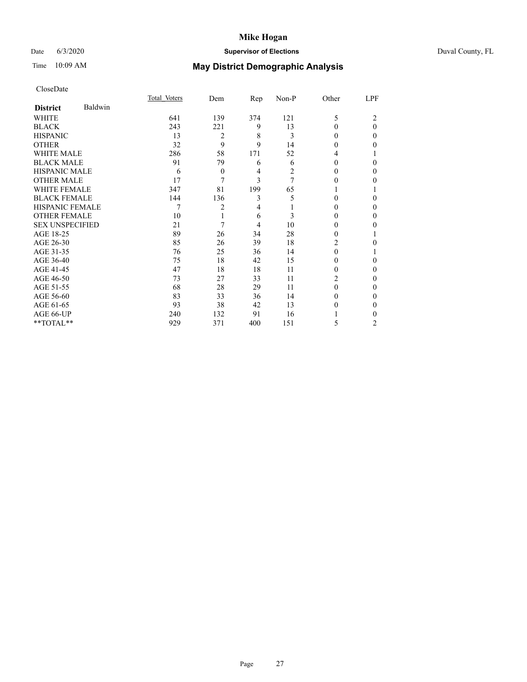## Date 6/3/2020 **Supervisor of Elections** Duval County, FL

# Time 10:09 AM **May District Demographic Analysis**

|                        |         | Total Voters | Dem            | $\mathbf{Rep}$ | $Non-P$ | Other  | LPF      |
|------------------------|---------|--------------|----------------|----------------|---------|--------|----------|
| <b>District</b>        | Baldwin |              |                |                |         |        |          |
| WHITE                  |         | 641          | 139            | 374            | 121     | 5      | 2        |
| <b>BLACK</b>           |         | 243          | 221            | 9              | 13      | 0      | $\theta$ |
| <b>HISPANIC</b>        |         | 13           | $\overline{2}$ | 8              | 3       | 0      | 0        |
| <b>OTHER</b>           |         | 32           | 9              | 9              | 14      | 0      | 0        |
| WHITE MALE             |         | 286          | 58             | 171            | 52      | 4      |          |
| <b>BLACK MALE</b>      |         | 91           | 79             | 6              | 6       | 0      | $\Omega$ |
| <b>HISPANIC MALE</b>   |         | 6            | $\overline{0}$ | 4              | 2       | $_{0}$ | $_{0}$   |
| <b>OTHER MALE</b>      |         | 17           | 7              | 3              | 7       | 0      | $_{0}$   |
| <b>WHITE FEMALE</b>    |         | 347          | 81             | 199            | 65      |        |          |
| <b>BLACK FEMALE</b>    |         | 144          | 136            | 3              | 5       | 0      | 0        |
| <b>HISPANIC FEMALE</b> |         | 7            | 2              | 4              |         | $_{0}$ | 0        |
| <b>OTHER FEMALE</b>    |         | 10           | 1              | 6              | 3       | 0      | $_{0}$   |
| <b>SEX UNSPECIFIED</b> |         | 21           | 7              | 4              | 10      | 0      | 0        |
| AGE 18-25              |         | 89           | 26             | 34             | 28      | 0      |          |
| AGE 26-30              |         | 85           | 26             | 39             | 18      | 2      | $_{0}$   |
| AGE 31-35              |         | 76           | 25             | 36             | 14      | 0      |          |
| AGE 36-40              |         | 75           | 18             | 42             | 15      | 0      | 0        |
| AGE 41-45              |         | 47           | 18             | 18             | 11      | 0      | 0        |
| AGE 46-50              |         | 73           | 27             | 33             | 11      | 2      | $\theta$ |
| AGE 51-55              |         | 68           | 28             | 29             | 11      | 0      | $_{0}$   |
| AGE 56-60              |         | 83           | 33             | 36             | 14      | 0      | $_{0}$   |
| AGE 61-65              |         | 93           | 38             | 42             | 13      | 0      | 0        |
| AGE 66-UP              |         | 240          | 132            | 91             | 16      |        | $_{0}$   |
| **TOTAL**              |         | 929          | 371            | 400            | 151     | 5      | 2        |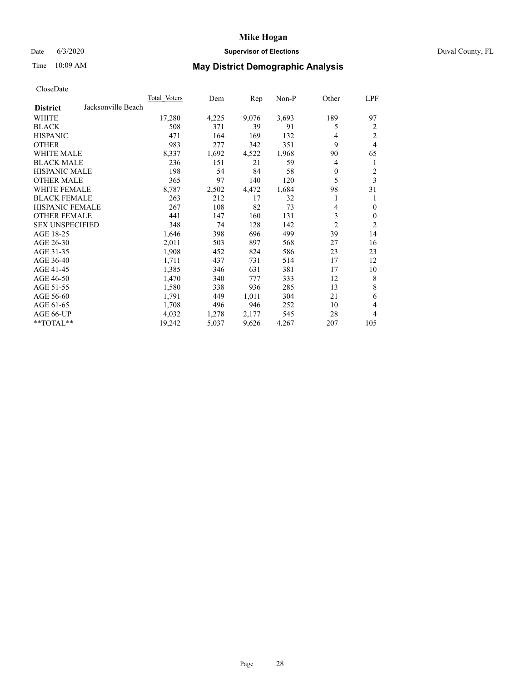## Date 6/3/2020 **Supervisor of Elections** Duval County, FL

# Time 10:09 AM **May District Demographic Analysis**

| <b>Total Voters</b> | Dem   | Rep   | $Non-P$ | Other          | LPF            |
|---------------------|-------|-------|---------|----------------|----------------|
|                     |       |       |         |                |                |
| 17,280              | 4,225 | 9,076 | 3,693   | 189            | 97             |
| 508                 | 371   | 39    | 91      | 5              | 2              |
| 471                 | 164   | 169   | 132     | 4              | $\overline{c}$ |
| 983                 | 277   | 342   | 351     | 9              | 4              |
| 8,337               | 1,692 | 4,522 | 1,968   | 90             | 65             |
| 236                 | 151   | 21    | 59      | 4              | 1              |
| 198                 | 54    | 84    | 58      | $\theta$       | 2              |
| 365                 | 97    | 140   | 120     | 5              | 3              |
| 8,787               | 2,502 | 4,472 | 1,684   | 98             | 31             |
| 263                 | 212   | 17    | 32      |                | 1              |
| 267                 | 108   | 82    | 73      | 4              | $\mathbf{0}$   |
| 441                 | 147   | 160   | 131     | 3              | $\mathbf{0}$   |
| 348                 | 74    | 128   | 142     | $\overline{2}$ | $\overline{2}$ |
| 1,646               | 398   | 696   | 499     | 39             | 14             |
| 2,011               | 503   | 897   | 568     | 27             | 16             |
| 1,908               | 452   | 824   | 586     | 23             | 23             |
| 1,711               | 437   | 731   | 514     | 17             | 12             |
| 1,385               | 346   | 631   | 381     | 17             | 10             |
| 1,470               | 340   | 777   | 333     | 12             | 8              |
| 1,580               | 338   | 936   | 285     | 13             | 8              |
| 1,791               | 449   | 1,011 | 304     | 21             | 6              |
| 1,708               | 496   | 946   | 252     | 10             | 4              |
| 4,032               | 1,278 | 2,177 | 545     | 28             | 4              |
| 19,242              | 5,037 | 9,626 | 4,267   | 207            | 105            |
|                     |       |       |         |                |                |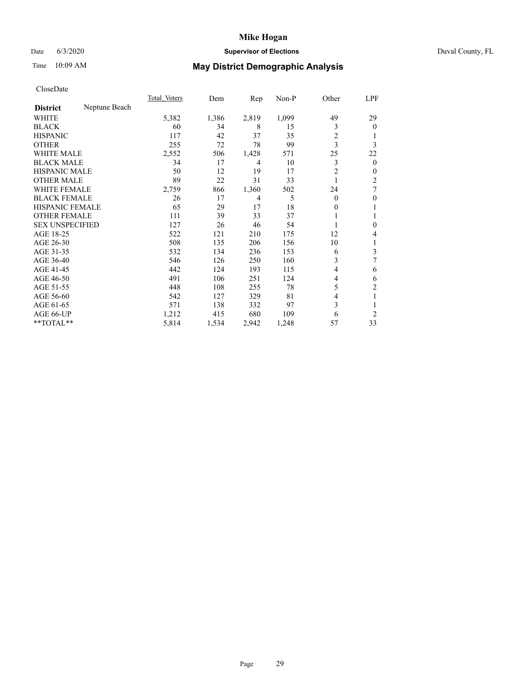#### Date 6/3/2020 **Supervisor of Elections Supervisor of Elections** Duval County, FL

# Time 10:09 AM **May District Demographic Analysis**

|                                  | Total Voters | Dem   | Rep   | Non-P | Other          | LPF              |
|----------------------------------|--------------|-------|-------|-------|----------------|------------------|
| Neptune Beach<br><b>District</b> |              |       |       |       |                |                  |
| WHITE                            | 5,382        | 1,386 | 2,819 | 1,099 | 49             | 29               |
| <b>BLACK</b>                     | 60           | 34    | 8     | 15    | 3              | $\Omega$         |
| <b>HISPANIC</b>                  | 117          | 42    | 37    | 35    | $\overline{c}$ |                  |
| <b>OTHER</b>                     | 255          | 72    | 78    | 99    | 3              | 3                |
| <b>WHITE MALE</b>                | 2,552        | 506   | 1,428 | 571   | 25             | 22               |
| <b>BLACK MALE</b>                | 34           | 17    | 4     | 10    | 3              | $\mathbf{0}$     |
| <b>HISPANIC MALE</b>             | 50           | 12    | 19    | 17    | $\overline{c}$ | 0                |
| <b>OTHER MALE</b>                | 89           | 22    | 31    | 33    |                | 2                |
| WHITE FEMALE                     | 2,759        | 866   | 1,360 | 502   | 24             | 7                |
| <b>BLACK FEMALE</b>              | 26           | 17    | 4     | 5     | $\theta$       | $\boldsymbol{0}$ |
| <b>HISPANIC FEMALE</b>           | 65           | 29    | 17    | 18    | 0              | 1                |
| <b>OTHER FEMALE</b>              | 111          | 39    | 33    | 37    |                | 1                |
| <b>SEX UNSPECIFIED</b>           | 127          | 26    | 46    | 54    |                | $\boldsymbol{0}$ |
| AGE 18-25                        | 522          | 121   | 210   | 175   | 12             | 4                |
| AGE 26-30                        | 508          | 135   | 206   | 156   | 10             | 1                |
| AGE 31-35                        | 532          | 134   | 236   | 153   | 6              | 3                |
| AGE 36-40                        | 546          | 126   | 250   | 160   | 3              | 7                |
| AGE 41-45                        | 442          | 124   | 193   | 115   | 4              | 6                |
| AGE 46-50                        | 491          | 106   | 251   | 124   | 4              | 6                |
| AGE 51-55                        | 448          | 108   | 255   | 78    | 5              | $\overline{c}$   |
| AGE 56-60                        | 542          | 127   | 329   | 81    | 4              | 1                |
| AGE 61-65                        | 571          | 138   | 332   | 97    | 3              |                  |
| AGE 66-UP                        | 1,212        | 415   | 680   | 109   | 6              | $\overline{2}$   |
| **TOTAL**                        | 5,814        | 1,534 | 2,942 | 1,248 | 57             | 33               |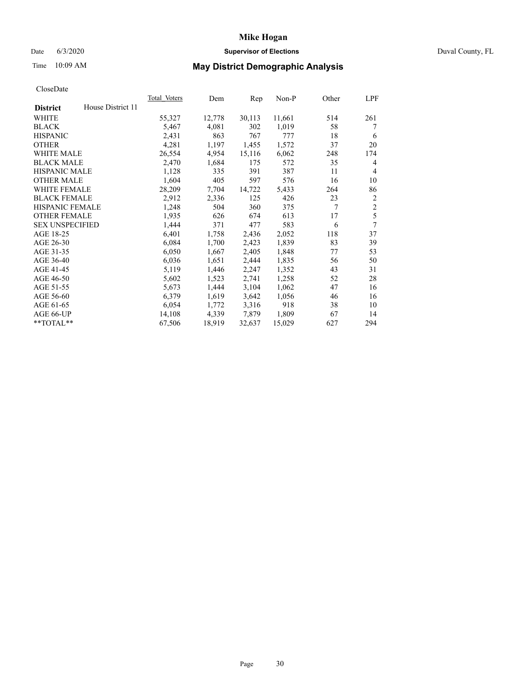## Date 6/3/2020 **Supervisor of Elections** Duval County, FL

# Time 10:09 AM **May District Demographic Analysis**

|                        |                   | Total Voters | Dem    | Rep    | Non-P  | Other | LPF            |
|------------------------|-------------------|--------------|--------|--------|--------|-------|----------------|
| <b>District</b>        | House District 11 |              |        |        |        |       |                |
| WHITE                  |                   | 55,327       | 12,778 | 30,113 | 11,661 | 514   | 261            |
| <b>BLACK</b>           |                   | 5,467        | 4,081  | 302    | 1,019  | 58    | 7              |
| <b>HISPANIC</b>        |                   | 2,431        | 863    | 767    | 777    | 18    | 6              |
| <b>OTHER</b>           |                   | 4,281        | 1,197  | 1,455  | 1,572  | 37    | 20             |
| WHITE MALE             |                   | 26,554       | 4,954  | 15,116 | 6,062  | 248   | 174            |
| <b>BLACK MALE</b>      |                   | 2,470        | 1,684  | 175    | 572    | 35    | 4              |
| <b>HISPANIC MALE</b>   |                   | 1,128        | 335    | 391    | 387    | 11    | 4              |
| <b>OTHER MALE</b>      |                   | 1,604        | 405    | 597    | 576    | 16    | 10             |
| WHITE FEMALE           |                   | 28,209       | 7,704  | 14,722 | 5,433  | 264   | 86             |
| <b>BLACK FEMALE</b>    |                   | 2,912        | 2,336  | 125    | 426    | 23    | 2              |
| <b>HISPANIC FEMALE</b> |                   | 1,248        | 504    | 360    | 375    | 7     | $\overline{2}$ |
| <b>OTHER FEMALE</b>    |                   | 1,935        | 626    | 674    | 613    | 17    | 5              |
| <b>SEX UNSPECIFIED</b> |                   | 1,444        | 371    | 477    | 583    | 6     | 7              |
| AGE 18-25              |                   | 6,401        | 1,758  | 2,436  | 2,052  | 118   | 37             |
| AGE 26-30              |                   | 6,084        | 1,700  | 2,423  | 1,839  | 83    | 39             |
| AGE 31-35              |                   | 6,050        | 1,667  | 2,405  | 1,848  | 77    | 53             |
| AGE 36-40              |                   | 6,036        | 1,651  | 2,444  | 1,835  | 56    | 50             |
| AGE 41-45              |                   | 5,119        | 1,446  | 2,247  | 1,352  | 43    | 31             |
| AGE 46-50              |                   | 5,602        | 1,523  | 2,741  | 1,258  | 52    | 28             |
| AGE 51-55              |                   | 5,673        | 1,444  | 3,104  | 1,062  | 47    | 16             |
| AGE 56-60              |                   | 6,379        | 1,619  | 3,642  | 1,056  | 46    | 16             |
| AGE 61-65              |                   | 6,054        | 1,772  | 3,316  | 918    | 38    | 10             |
| AGE 66-UP              |                   | 14,108       | 4,339  | 7,879  | 1,809  | 67    | 14             |
| $*$ TOTAL $*$          |                   | 67,506       | 18,919 | 32,637 | 15,029 | 627   | 294            |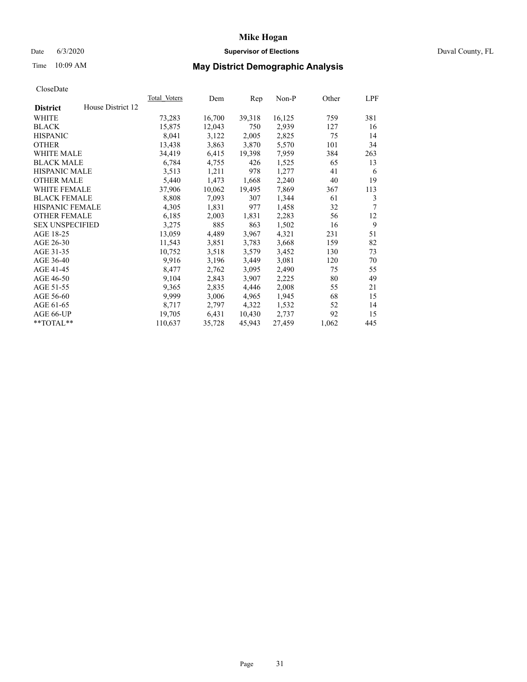## Date 6/3/2020 **Supervisor of Elections** Duval County, FL

# Time 10:09 AM **May District Demographic Analysis**

|                        |                   | Total Voters | Dem    | Rep    | $Non-P$ | Other | LPF |
|------------------------|-------------------|--------------|--------|--------|---------|-------|-----|
| <b>District</b>        | House District 12 |              |        |        |         |       |     |
| WHITE                  |                   | 73,283       | 16,700 | 39,318 | 16,125  | 759   | 381 |
| <b>BLACK</b>           |                   | 15,875       | 12,043 | 750    | 2,939   | 127   | 16  |
| <b>HISPANIC</b>        |                   | 8,041        | 3,122  | 2,005  | 2,825   | 75    | 14  |
| <b>OTHER</b>           |                   | 13,438       | 3,863  | 3,870  | 5,570   | 101   | 34  |
| WHITE MALE             |                   | 34,419       | 6,415  | 19,398 | 7,959   | 384   | 263 |
| <b>BLACK MALE</b>      |                   | 6,784        | 4,755  | 426    | 1,525   | 65    | 13  |
| <b>HISPANIC MALE</b>   |                   | 3,513        | 1,211  | 978    | 1,277   | 41    | 6   |
| <b>OTHER MALE</b>      |                   | 5,440        | 1,473  | 1,668  | 2,240   | 40    | 19  |
| WHITE FEMALE           |                   | 37,906       | 10,062 | 19,495 | 7,869   | 367   | 113 |
| <b>BLACK FEMALE</b>    |                   | 8,808        | 7,093  | 307    | 1,344   | 61    | 3   |
| HISPANIC FEMALE        |                   | 4,305        | 1,831  | 977    | 1,458   | 32    | 7   |
| <b>OTHER FEMALE</b>    |                   | 6,185        | 2,003  | 1,831  | 2,283   | 56    | 12  |
| <b>SEX UNSPECIFIED</b> |                   | 3,275        | 885    | 863    | 1,502   | 16    | 9   |
| AGE 18-25              |                   | 13,059       | 4,489  | 3,967  | 4,321   | 231   | 51  |
| AGE 26-30              |                   | 11,543       | 3,851  | 3,783  | 3,668   | 159   | 82  |
| AGE 31-35              |                   | 10,752       | 3,518  | 3,579  | 3,452   | 130   | 73  |
| AGE 36-40              |                   | 9,916        | 3,196  | 3,449  | 3,081   | 120   | 70  |
| AGE 41-45              |                   | 8,477        | 2,762  | 3,095  | 2,490   | 75    | 55  |
| AGE 46-50              |                   | 9,104        | 2,843  | 3,907  | 2,225   | 80    | 49  |
| AGE 51-55              |                   | 9,365        | 2,835  | 4,446  | 2,008   | 55    | 21  |
| AGE 56-60              |                   | 9,999        | 3,006  | 4,965  | 1,945   | 68    | 15  |
| AGE 61-65              |                   | 8,717        | 2,797  | 4,322  | 1,532   | 52    | 14  |
| AGE 66-UP              |                   | 19,705       | 6,431  | 10,430 | 2,737   | 92    | 15  |
| $*$ TOTAL $*$          |                   | 110,637      | 35,728 | 45,943 | 27,459  | 1,062 | 445 |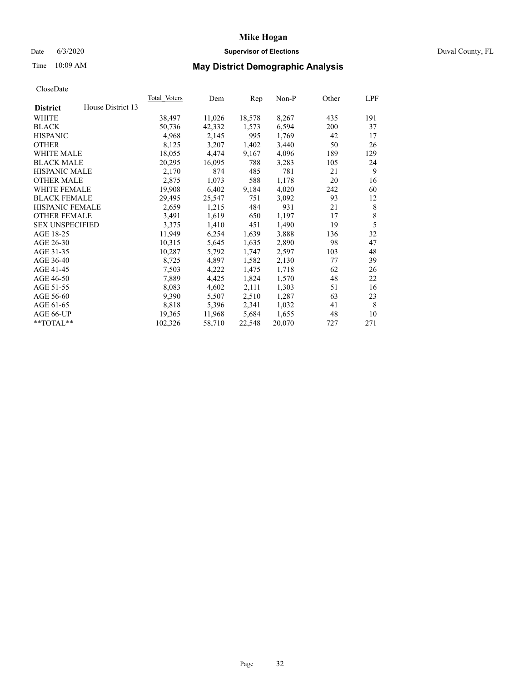#### Date 6/3/2020 **Supervisor of Elections Supervisor of Elections** Duval County, FL

# Time 10:09 AM **May District Demographic Analysis**

|                                      | Total Voters | Dem    | Rep    | Non-P  | Other | LPF |
|--------------------------------------|--------------|--------|--------|--------|-------|-----|
| House District 13<br><b>District</b> |              |        |        |        |       |     |
| WHITE                                | 38,497       | 11,026 | 18,578 | 8,267  | 435   | 191 |
| <b>BLACK</b>                         | 50,736       | 42,332 | 1,573  | 6,594  | 200   | 37  |
| <b>HISPANIC</b>                      | 4,968        | 2,145  | 995    | 1,769  | 42    | 17  |
| <b>OTHER</b>                         | 8,125        | 3,207  | 1,402  | 3,440  | 50    | 26  |
| WHITE MALE                           | 18,055       | 4,474  | 9,167  | 4,096  | 189   | 129 |
| <b>BLACK MALE</b>                    | 20,295       | 16,095 | 788    | 3,283  | 105   | 24  |
| <b>HISPANIC MALE</b>                 | 2,170        | 874    | 485    | 781    | 21    | 9   |
| <b>OTHER MALE</b>                    | 2,875        | 1,073  | 588    | 1,178  | 20    | 16  |
| <b>WHITE FEMALE</b>                  | 19,908       | 6,402  | 9,184  | 4,020  | 242   | 60  |
| <b>BLACK FEMALE</b>                  | 29,495       | 25,547 | 751    | 3,092  | 93    | 12  |
| <b>HISPANIC FEMALE</b>               | 2,659        | 1,215  | 484    | 931    | 21    | 8   |
| <b>OTHER FEMALE</b>                  | 3,491        | 1,619  | 650    | 1,197  | 17    | 8   |
| <b>SEX UNSPECIFIED</b>               | 3,375        | 1,410  | 451    | 1,490  | 19    | 5   |
| AGE 18-25                            | 11,949       | 6,254  | 1,639  | 3,888  | 136   | 32  |
| AGE 26-30                            | 10,315       | 5,645  | 1,635  | 2,890  | 98    | 47  |
| AGE 31-35                            | 10,287       | 5,792  | 1,747  | 2,597  | 103   | 48  |
| AGE 36-40                            | 8,725        | 4,897  | 1,582  | 2,130  | 77    | 39  |
| AGE 41-45                            | 7,503        | 4,222  | 1,475  | 1,718  | 62    | 26  |
| AGE 46-50                            | 7,889        | 4,425  | 1,824  | 1,570  | 48    | 22  |
| AGE 51-55                            | 8,083        | 4,602  | 2,111  | 1,303  | 51    | 16  |
| AGE 56-60                            | 9,390        | 5,507  | 2,510  | 1,287  | 63    | 23  |
| AGE 61-65                            | 8,818        | 5,396  | 2,341  | 1,032  | 41    | 8   |
| AGE 66-UP                            | 19,365       | 11,968 | 5,684  | 1,655  | 48    | 10  |
| $*$ $TOTAL**$                        | 102,326      | 58,710 | 22,548 | 20,070 | 727   | 271 |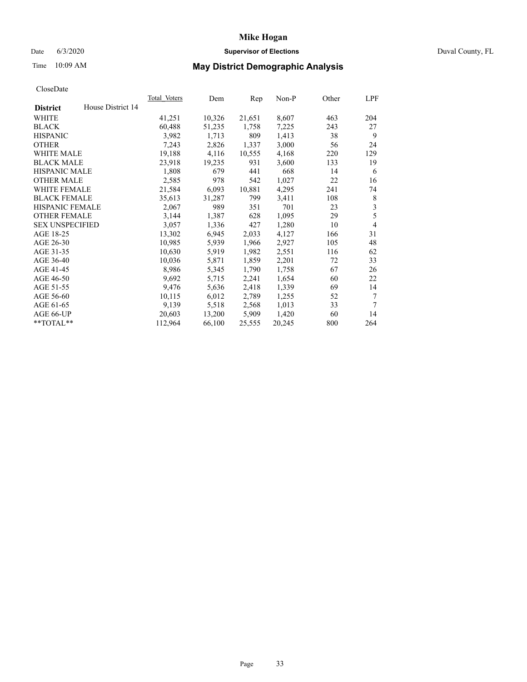#### Date 6/3/2020 **Supervisor of Elections Supervisor of Elections** Duval County, FL

# Time 10:09 AM **May District Demographic Analysis**

|                        |                   | <b>Total Voters</b> | Dem    | Rep    | $Non-P$ | Other | LPF            |
|------------------------|-------------------|---------------------|--------|--------|---------|-------|----------------|
| <b>District</b>        | House District 14 |                     |        |        |         |       |                |
| WHITE                  |                   | 41,251              | 10,326 | 21,651 | 8,607   | 463   | 204            |
| <b>BLACK</b>           |                   | 60,488              | 51,235 | 1,758  | 7,225   | 243   | 27             |
| <b>HISPANIC</b>        |                   | 3,982               | 1,713  | 809    | 1,413   | 38    | 9              |
| <b>OTHER</b>           |                   | 7,243               | 2,826  | 1,337  | 3,000   | 56    | 24             |
| WHITE MALE             |                   | 19,188              | 4,116  | 10,555 | 4,168   | 220   | 129            |
| <b>BLACK MALE</b>      |                   | 23,918              | 19,235 | 931    | 3,600   | 133   | 19             |
| <b>HISPANIC MALE</b>   |                   | 1,808               | 679    | 441    | 668     | 14    | 6              |
| <b>OTHER MALE</b>      |                   | 2,585               | 978    | 542    | 1,027   | 22    | 16             |
| WHITE FEMALE           |                   | 21,584              | 6,093  | 10,881 | 4,295   | 241   | 74             |
| <b>BLACK FEMALE</b>    |                   | 35,613              | 31,287 | 799    | 3,411   | 108   | 8              |
| HISPANIC FEMALE        |                   | 2,067               | 989    | 351    | 701     | 23    | 3              |
| <b>OTHER FEMALE</b>    |                   | 3,144               | 1,387  | 628    | 1,095   | 29    | 5              |
| <b>SEX UNSPECIFIED</b> |                   | 3,057               | 1,336  | 427    | 1,280   | 10    | $\overline{4}$ |
| AGE 18-25              |                   | 13,302              | 6,945  | 2,033  | 4,127   | 166   | 31             |
| AGE 26-30              |                   | 10,985              | 5,939  | 1,966  | 2,927   | 105   | 48             |
| AGE 31-35              |                   | 10,630              | 5,919  | 1,982  | 2,551   | 116   | 62             |
| AGE 36-40              |                   | 10,036              | 5,871  | 1,859  | 2,201   | 72    | 33             |
| AGE 41-45              |                   | 8,986               | 5,345  | 1,790  | 1,758   | 67    | 26             |
| AGE 46-50              |                   | 9,692               | 5,715  | 2,241  | 1,654   | 60    | 22             |
| AGE 51-55              |                   | 9,476               | 5,636  | 2,418  | 1,339   | 69    | 14             |
| AGE 56-60              |                   | 10,115              | 6,012  | 2,789  | 1,255   | 52    | 7              |
| AGE 61-65              |                   | 9,139               | 5,518  | 2,568  | 1,013   | 33    | 7              |
| AGE 66-UP              |                   | 20,603              | 13,200 | 5,909  | 1,420   | 60    | 14             |
| **TOTAL**              |                   | 112,964             | 66,100 | 25,555 | 20,245  | 800   | 264            |
|                        |                   |                     |        |        |         |       |                |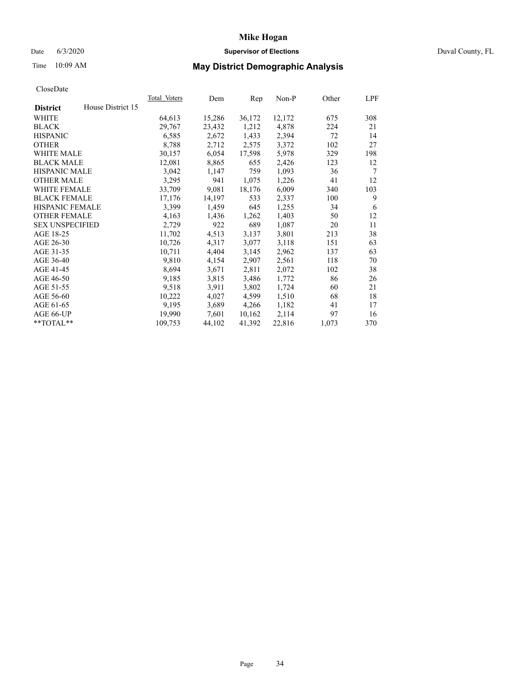#### Date 6/3/2020 **Supervisor of Elections Supervisor of Elections** Duval County, FL

# Time 10:09 AM **May District Demographic Analysis**

|                                      | Total Voters | Dem    | Rep    | Non-P  | Other | LPF |
|--------------------------------------|--------------|--------|--------|--------|-------|-----|
| House District 15<br><b>District</b> |              |        |        |        |       |     |
| WHITE                                | 64,613       | 15,286 | 36,172 | 12,172 | 675   | 308 |
| <b>BLACK</b>                         | 29,767       | 23,432 | 1,212  | 4,878  | 224   | 21  |
| <b>HISPANIC</b>                      | 6,585        | 2,672  | 1,433  | 2,394  | 72    | 14  |
| <b>OTHER</b>                         | 8,788        | 2,712  | 2,575  | 3,372  | 102   | 27  |
| WHITE MALE                           | 30,157       | 6,054  | 17,598 | 5,978  | 329   | 198 |
| <b>BLACK MALE</b>                    | 12,081       | 8,865  | 655    | 2,426  | 123   | 12  |
| HISPANIC MALE                        | 3,042        | 1,147  | 759    | 1,093  | 36    | 7   |
| <b>OTHER MALE</b>                    | 3,295        | 941    | 1,075  | 1,226  | 41    | 12  |
| <b>WHITE FEMALE</b>                  | 33,709       | 9,081  | 18,176 | 6,009  | 340   | 103 |
| <b>BLACK FEMALE</b>                  | 17,176       | 14,197 | 533    | 2,337  | 100   | 9   |
| <b>HISPANIC FEMALE</b>               | 3,399        | 1,459  | 645    | 1,255  | 34    | 6   |
| <b>OTHER FEMALE</b>                  | 4,163        | 1,436  | 1,262  | 1,403  | 50    | 12  |
| <b>SEX UNSPECIFIED</b>               | 2,729        | 922    | 689    | 1,087  | 20    | 11  |
| AGE 18-25                            | 11,702       | 4,513  | 3,137  | 3,801  | 213   | 38  |
| AGE 26-30                            | 10,726       | 4,317  | 3,077  | 3,118  | 151   | 63  |
| AGE 31-35                            | 10,711       | 4,404  | 3,145  | 2,962  | 137   | 63  |
| AGE 36-40                            | 9,810        | 4,154  | 2,907  | 2,561  | 118   | 70  |
| AGE 41-45                            | 8,694        | 3,671  | 2,811  | 2,072  | 102   | 38  |
| AGE 46-50                            | 9,185        | 3,815  | 3,486  | 1,772  | 86    | 26  |
| AGE 51-55                            | 9,518        | 3,911  | 3,802  | 1,724  | 60    | 21  |
| AGE 56-60                            | 10,222       | 4,027  | 4,599  | 1,510  | 68    | 18  |
| AGE 61-65                            | 9,195        | 3,689  | 4,266  | 1,182  | 41    | 17  |
| AGE 66-UP                            | 19,990       | 7,601  | 10,162 | 2,114  | 97    | 16  |
| $*$ TOTAL $*$                        | 109,753      | 44,102 | 41,392 | 22,816 | 1,073 | 370 |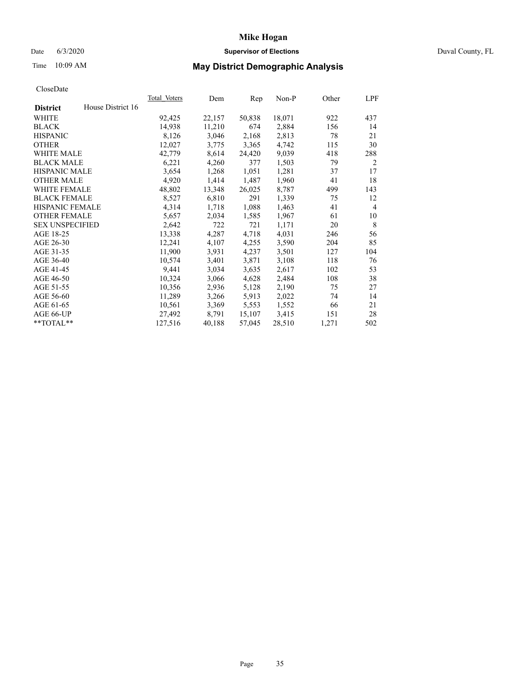## Date 6/3/2020 **Supervisor of Elections** Duval County, FL

# Time 10:09 AM **May District Demographic Analysis**

|                        |                   | Total Voters | Dem    | Rep    | Non-P  | Other | LPF            |
|------------------------|-------------------|--------------|--------|--------|--------|-------|----------------|
| <b>District</b>        | House District 16 |              |        |        |        |       |                |
| WHITE                  |                   | 92,425       | 22,157 | 50,838 | 18,071 | 922   | 437            |
| <b>BLACK</b>           |                   | 14,938       | 11,210 | 674    | 2,884  | 156   | 14             |
| <b>HISPANIC</b>        |                   | 8,126        | 3,046  | 2,168  | 2,813  | 78    | 21             |
| <b>OTHER</b>           |                   | 12,027       | 3,775  | 3,365  | 4,742  | 115   | 30             |
| WHITE MALE             |                   | 42,779       | 8,614  | 24,420 | 9,039  | 418   | 288            |
| <b>BLACK MALE</b>      |                   | 6,221        | 4,260  | 377    | 1,503  | 79    | 2              |
| <b>HISPANIC MALE</b>   |                   | 3,654        | 1,268  | 1,051  | 1,281  | 37    | 17             |
| <b>OTHER MALE</b>      |                   | 4,920        | 1,414  | 1,487  | 1,960  | 41    | 18             |
| <b>WHITE FEMALE</b>    |                   | 48,802       | 13,348 | 26,025 | 8,787  | 499   | 143            |
| <b>BLACK FEMALE</b>    |                   | 8,527        | 6,810  | 291    | 1,339  | 75    | 12             |
| <b>HISPANIC FEMALE</b> |                   | 4,314        | 1,718  | 1,088  | 1,463  | 41    | $\overline{4}$ |
| <b>OTHER FEMALE</b>    |                   | 5,657        | 2,034  | 1,585  | 1,967  | 61    | 10             |
| <b>SEX UNSPECIFIED</b> |                   | 2,642        | 722    | 721    | 1,171  | 20    | 8              |
| AGE 18-25              |                   | 13,338       | 4,287  | 4,718  | 4,031  | 246   | 56             |
| AGE 26-30              |                   | 12,241       | 4,107  | 4,255  | 3,590  | 204   | 85             |
| AGE 31-35              |                   | 11,900       | 3,931  | 4,237  | 3,501  | 127   | 104            |
| AGE 36-40              |                   | 10,574       | 3,401  | 3,871  | 3,108  | 118   | 76             |
| AGE 41-45              |                   | 9,441        | 3,034  | 3,635  | 2,617  | 102   | 53             |
| AGE 46-50              |                   | 10,324       | 3,066  | 4,628  | 2,484  | 108   | 38             |
| AGE 51-55              |                   | 10,356       | 2,936  | 5,128  | 2,190  | 75    | 27             |
| AGE 56-60              |                   | 11,289       | 3,266  | 5,913  | 2,022  | 74    | 14             |
| AGE 61-65              |                   | 10,561       | 3,369  | 5,553  | 1,552  | 66    | 21             |
| AGE 66-UP              |                   | 27,492       | 8,791  | 15,107 | 3,415  | 151   | 28             |
| $*$ TOTAL $*$          |                   | 127,516      | 40,188 | 57,045 | 28,510 | 1,271 | 502            |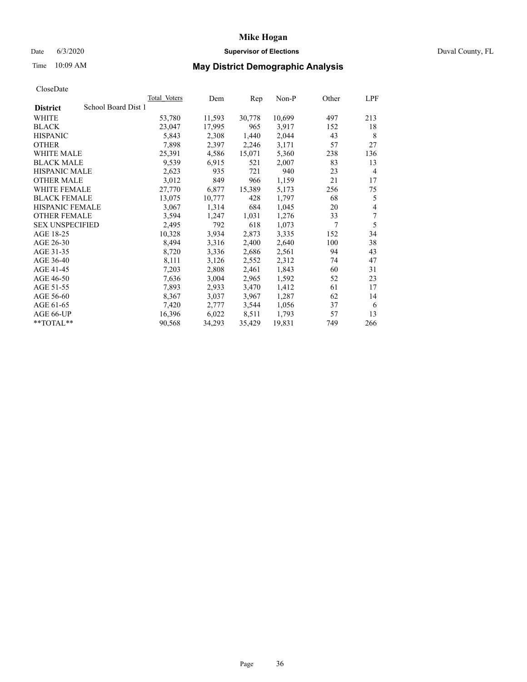#### Date 6/3/2020 **Supervisor of Elections Supervisor of Elections** Duval County, FL

# Time 10:09 AM **May District Demographic Analysis**

|                                        | <b>Total Voters</b> | Dem    | Rep    | $Non-P$ | Other | LPF            |
|----------------------------------------|---------------------|--------|--------|---------|-------|----------------|
| School Board Dist 1<br><b>District</b> |                     |        |        |         |       |                |
| WHITE                                  | 53,780              | 11,593 | 30,778 | 10,699  | 497   | 213            |
| <b>BLACK</b>                           | 23,047              | 17,995 | 965    | 3,917   | 152   | 18             |
| <b>HISPANIC</b>                        | 5,843               | 2,308  | 1,440  | 2,044   | 43    | 8              |
| <b>OTHER</b>                           | 7,898               | 2,397  | 2,246  | 3,171   | 57    | 27             |
| WHITE MALE                             | 25,391              | 4,586  | 15,071 | 5,360   | 238   | 136            |
| <b>BLACK MALE</b>                      | 9,539               | 6,915  | 521    | 2,007   | 83    | 13             |
| <b>HISPANIC MALE</b>                   | 2,623               | 935    | 721    | 940     | 23    | $\overline{4}$ |
| <b>OTHER MALE</b>                      | 3,012               | 849    | 966    | 1,159   | 21    | 17             |
| <b>WHITE FEMALE</b>                    | 27,770              | 6,877  | 15,389 | 5,173   | 256   | 75             |
| <b>BLACK FEMALE</b>                    | 13,075              | 10,777 | 428    | 1,797   | 68    | 5              |
| HISPANIC FEMALE                        | 3,067               | 1,314  | 684    | 1,045   | 20    | 4              |
| <b>OTHER FEMALE</b>                    | 3,594               | 1,247  | 1,031  | 1,276   | 33    | 7              |
| <b>SEX UNSPECIFIED</b>                 | 2,495               | 792    | 618    | 1,073   | 7     | 5              |
| AGE 18-25                              | 10,328              | 3,934  | 2,873  | 3,335   | 152   | 34             |
| AGE 26-30                              | 8,494               | 3,316  | 2,400  | 2,640   | 100   | 38             |
| AGE 31-35                              | 8,720               | 3,336  | 2,686  | 2,561   | 94    | 43             |
| AGE 36-40                              | 8,111               | 3,126  | 2,552  | 2,312   | 74    | 47             |
| AGE 41-45                              | 7,203               | 2,808  | 2,461  | 1,843   | 60    | 31             |
| AGE 46-50                              | 7,636               | 3,004  | 2,965  | 1,592   | 52    | 23             |
| AGE 51-55                              | 7,893               | 2,933  | 3,470  | 1,412   | 61    | 17             |
| AGE 56-60                              | 8,367               | 3,037  | 3,967  | 1,287   | 62    | 14             |
| AGE 61-65                              | 7,420               | 2,777  | 3,544  | 1,056   | 37    | 6              |
| AGE 66-UP                              | 16,396              | 6,022  | 8,511  | 1,793   | 57    | 13             |
| **TOTAL**                              | 90,568              | 34,293 | 35,429 | 19,831  | 749   | 266            |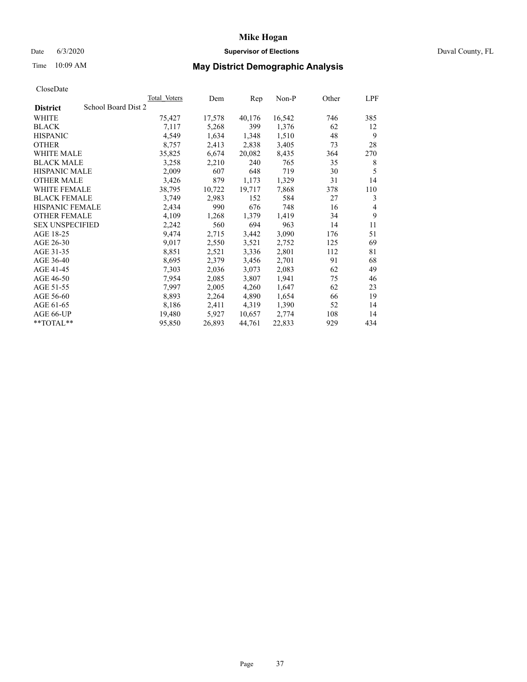## Date 6/3/2020 **Supervisor of Elections** Duval County, FL

# Time 10:09 AM **May District Demographic Analysis**

|                                        | Total Voters | Dem    | Rep    | Non-P  | Other | LPF            |
|----------------------------------------|--------------|--------|--------|--------|-------|----------------|
| School Board Dist 2<br><b>District</b> |              |        |        |        |       |                |
| WHITE                                  | 75,427       | 17,578 | 40,176 | 16,542 | 746   | 385            |
| <b>BLACK</b>                           | 7,117        | 5,268  | 399    | 1,376  | 62    | 12             |
| <b>HISPANIC</b>                        | 4,549        | 1,634  | 1,348  | 1,510  | 48    | 9              |
| <b>OTHER</b>                           | 8,757        | 2,413  | 2,838  | 3,405  | 73    | 28             |
| WHITE MALE                             | 35,825       | 6,674  | 20,082 | 8,435  | 364   | 270            |
| <b>BLACK MALE</b>                      | 3,258        | 2,210  | 240    | 765    | 35    | 8              |
| <b>HISPANIC MALE</b>                   | 2,009        | 607    | 648    | 719    | 30    | 5              |
| <b>OTHER MALE</b>                      | 3,426        | 879    | 1,173  | 1,329  | 31    | 14             |
| <b>WHITE FEMALE</b>                    | 38,795       | 10,722 | 19,717 | 7,868  | 378   | 110            |
| <b>BLACK FEMALE</b>                    | 3,749        | 2,983  | 152    | 584    | 27    | 3              |
| <b>HISPANIC FEMALE</b>                 | 2,434        | 990    | 676    | 748    | 16    | $\overline{4}$ |
| <b>OTHER FEMALE</b>                    | 4,109        | 1,268  | 1,379  | 1,419  | 34    | 9              |
| <b>SEX UNSPECIFIED</b>                 | 2,242        | 560    | 694    | 963    | 14    | 11             |
| AGE 18-25                              | 9,474        | 2,715  | 3,442  | 3,090  | 176   | 51             |
| AGE 26-30                              | 9,017        | 2,550  | 3,521  | 2,752  | 125   | 69             |
| AGE 31-35                              | 8,851        | 2,521  | 3,336  | 2,801  | 112   | 81             |
| AGE 36-40                              | 8,695        | 2,379  | 3,456  | 2,701  | 91    | 68             |
| AGE 41-45                              | 7,303        | 2,036  | 3,073  | 2,083  | 62    | 49             |
| AGE 46-50                              | 7,954        | 2,085  | 3,807  | 1,941  | 75    | 46             |
| AGE 51-55                              | 7,997        | 2,005  | 4,260  | 1,647  | 62    | 23             |
| AGE 56-60                              | 8,893        | 2,264  | 4,890  | 1,654  | 66    | 19             |
| AGE 61-65                              | 8,186        | 2,411  | 4,319  | 1,390  | 52    | 14             |
| AGE 66-UP                              | 19,480       | 5,927  | 10,657 | 2,774  | 108   | 14             |
| $*$ TOTAL $*$                          | 95,850       | 26,893 | 44,761 | 22,833 | 929   | 434            |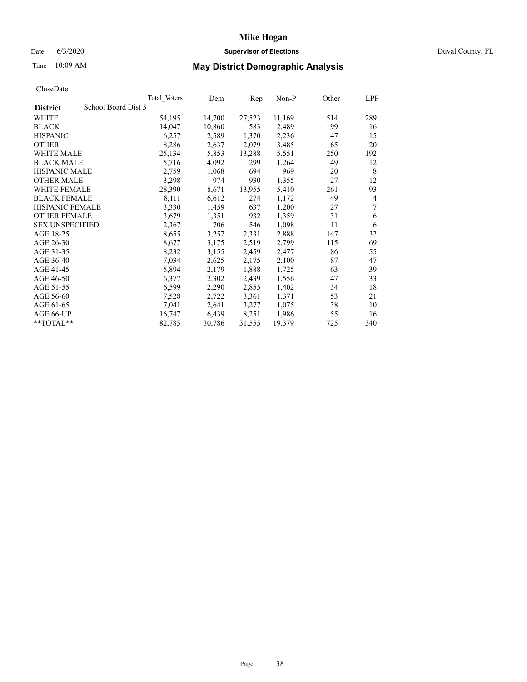## Date 6/3/2020 **Supervisor of Elections** Duval County, FL

# Time 10:09 AM **May District Demographic Analysis**

|                                        | <b>Total Voters</b> | Dem    | Rep    | $Non-P$ | Other | LPF |
|----------------------------------------|---------------------|--------|--------|---------|-------|-----|
| School Board Dist 3<br><b>District</b> |                     |        |        |         |       |     |
| WHITE                                  | 54,195              | 14,700 | 27,523 | 11,169  | 514   | 289 |
| <b>BLACK</b>                           | 14,047              | 10,860 | 583    | 2,489   | 99    | 16  |
| <b>HISPANIC</b>                        | 6,257               | 2,589  | 1,370  | 2,236   | 47    | 15  |
| <b>OTHER</b>                           | 8,286               | 2,637  | 2,079  | 3,485   | 65    | 20  |
| WHITE MALE                             | 25,134              | 5,853  | 13,288 | 5,551   | 250   | 192 |
| <b>BLACK MALE</b>                      | 5,716               | 4,092  | 299    | 1,264   | 49    | 12  |
| <b>HISPANIC MALE</b>                   | 2,759               | 1,068  | 694    | 969     | 20    | 8   |
| <b>OTHER MALE</b>                      | 3,298               | 974    | 930    | 1,355   | 27    | 12  |
| <b>WHITE FEMALE</b>                    | 28,390              | 8,671  | 13,955 | 5,410   | 261   | 93  |
| <b>BLACK FEMALE</b>                    | 8,111               | 6,612  | 274    | 1,172   | 49    | 4   |
| HISPANIC FEMALE                        | 3,330               | 1,459  | 637    | 1,200   | 27    | 7   |
| <b>OTHER FEMALE</b>                    | 3,679               | 1,351  | 932    | 1,359   | 31    | 6   |
| <b>SEX UNSPECIFIED</b>                 | 2,367               | 706    | 546    | 1,098   | 11    | 6   |
| AGE 18-25                              | 8,655               | 3,257  | 2,331  | 2,888   | 147   | 32  |
| AGE 26-30                              | 8,677               | 3,175  | 2,519  | 2,799   | 115   | 69  |
| AGE 31-35                              | 8,232               | 3,155  | 2,459  | 2,477   | 86    | 55  |
| AGE 36-40                              | 7,034               | 2,625  | 2,175  | 2,100   | 87    | 47  |
| AGE 41-45                              | 5,894               | 2,179  | 1,888  | 1,725   | 63    | 39  |
| AGE 46-50                              | 6,377               | 2,302  | 2,439  | 1,556   | 47    | 33  |
| AGE 51-55                              | 6,599               | 2,290  | 2,855  | 1,402   | 34    | 18  |
| AGE 56-60                              | 7,528               | 2,722  | 3,361  | 1,371   | 53    | 21  |
| AGE 61-65                              | 7,041               | 2,641  | 3,277  | 1,075   | 38    | 10  |
| AGE 66-UP                              | 16,747              | 6,439  | 8,251  | 1,986   | 55    | 16  |
| **TOTAL**                              | 82,785              | 30,786 | 31,555 | 19,379  | 725   | 340 |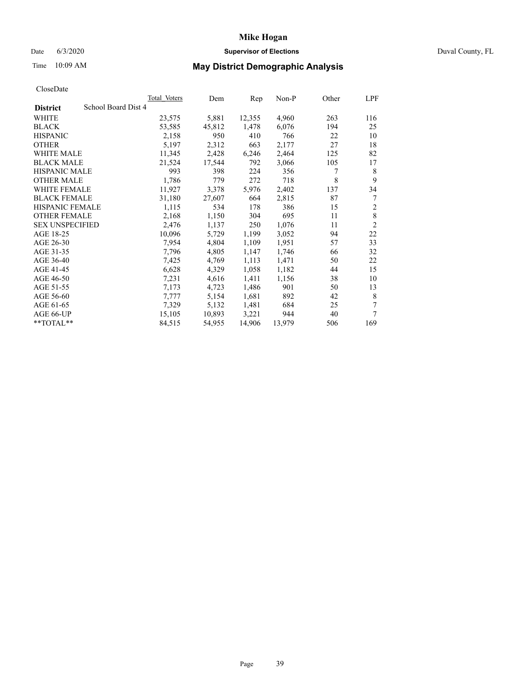#### Date 6/3/2020 **Supervisor of Elections Supervisor of Elections** Duval County, FL

# Time 10:09 AM **May District Demographic Analysis**

| <b>Total Voters</b> | Dem    | Rep    | $Non-P$ | Other | LPF            |
|---------------------|--------|--------|---------|-------|----------------|
| School Board Dist 4 |        |        |         |       |                |
| 23,575              | 5,881  | 12,355 | 4,960   | 263   | 116            |
| 53,585              | 45,812 | 1,478  | 6,076   | 194   | 25             |
| 2,158               | 950    | 410    | 766     | 22    | 10             |
| 5,197               | 2,312  | 663    | 2,177   | 27    | 18             |
| 11,345              | 2,428  | 6,246  | 2,464   | 125   | 82             |
| 21,524              | 17,544 | 792    | 3,066   | 105   | 17             |
| 993                 | 398    | 224    | 356     | 7     | 8              |
| 1,786               | 779    | 272    | 718     | 8     | 9              |
| 11,927              | 3,378  | 5,976  | 2,402   | 137   | 34             |
| 31,180              | 27,607 | 664    | 2,815   | 87    | 7              |
| 1,115               | 534    | 178    | 386     | 15    | $\overline{c}$ |
| 2,168               | 1,150  | 304    | 695     | 11    | 8              |
| 2,476               | 1,137  | 250    | 1,076   | 11    | $\overline{2}$ |
| 10,096              | 5,729  | 1,199  | 3,052   | 94    | 22             |
| 7,954               | 4,804  | 1,109  | 1,951   | 57    | 33             |
| 7,796               | 4,805  | 1,147  | 1,746   | 66    | 32             |
| 7,425               | 4,769  | 1,113  | 1,471   | 50    | 22             |
| 6,628               | 4,329  | 1,058  | 1,182   | 44    | 15             |
| 7,231               | 4,616  | 1,411  | 1,156   | 38    | 10             |
| 7,173               | 4,723  | 1,486  | 901     | 50    | 13             |
| 7,777               | 5,154  | 1,681  | 892     | 42    | 8              |
| 7,329               | 5,132  | 1,481  | 684     | 25    | 7              |
| 15,105              | 10,893 | 3,221  | 944     | 40    | 7              |
| 84,515              | 54,955 | 14,906 | 13,979  | 506   | 169            |
|                     |        |        |         |       |                |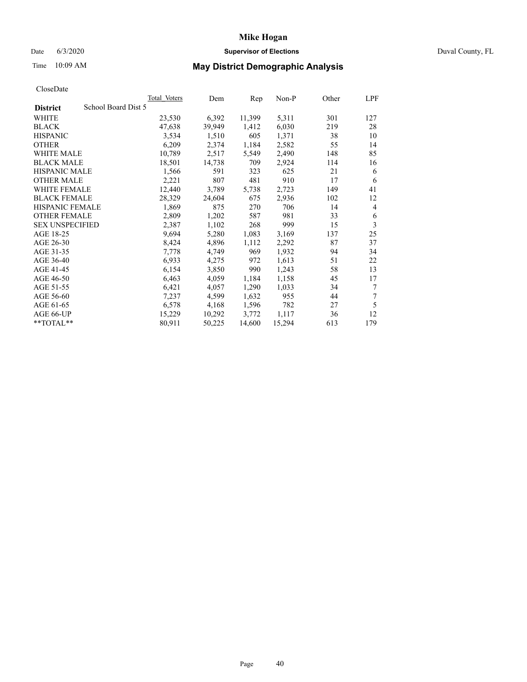#### Date 6/3/2020 **Supervisor of Elections Supervisor of Elections** Duval County, FL

# Time 10:09 AM **May District Demographic Analysis**

|                                        | Total Voters | Dem    | Rep    | Non-P  | Other | LPF |
|----------------------------------------|--------------|--------|--------|--------|-------|-----|
| School Board Dist 5<br><b>District</b> |              |        |        |        |       |     |
| WHITE                                  | 23,530       | 6,392  | 11,399 | 5,311  | 301   | 127 |
| <b>BLACK</b>                           | 47,638       | 39,949 | 1,412  | 6,030  | 219   | 28  |
| <b>HISPANIC</b>                        | 3,534        | 1,510  | 605    | 1,371  | 38    | 10  |
| <b>OTHER</b>                           | 6,209        | 2,374  | 1,184  | 2,582  | 55    | 14  |
| <b>WHITE MALE</b>                      | 10,789       | 2,517  | 5,549  | 2,490  | 148   | 85  |
| <b>BLACK MALE</b>                      | 18,501       | 14,738 | 709    | 2,924  | 114   | 16  |
| <b>HISPANIC MALE</b>                   | 1,566        | 591    | 323    | 625    | 21    | 6   |
| <b>OTHER MALE</b>                      | 2,221        | 807    | 481    | 910    | 17    | 6   |
| WHITE FEMALE                           | 12,440       | 3,789  | 5,738  | 2,723  | 149   | 41  |
| <b>BLACK FEMALE</b>                    | 28,329       | 24,604 | 675    | 2,936  | 102   | 12  |
| <b>HISPANIC FEMALE</b>                 | 1,869        | 875    | 270    | 706    | 14    | 4   |
| <b>OTHER FEMALE</b>                    | 2,809        | 1,202  | 587    | 981    | 33    | 6   |
| <b>SEX UNSPECIFIED</b>                 | 2,387        | 1,102  | 268    | 999    | 15    | 3   |
| AGE 18-25                              | 9,694        | 5,280  | 1,083  | 3,169  | 137   | 25  |
| AGE 26-30                              | 8,424        | 4,896  | 1,112  | 2,292  | 87    | 37  |
| AGE 31-35                              | 7,778        | 4,749  | 969    | 1,932  | 94    | 34  |
| AGE 36-40                              | 6,933        | 4,275  | 972    | 1,613  | 51    | 22  |
| AGE 41-45                              | 6,154        | 3,850  | 990    | 1,243  | 58    | 13  |
| AGE 46-50                              | 6,463        | 4,059  | 1,184  | 1,158  | 45    | 17  |
| AGE 51-55                              | 6,421        | 4,057  | 1,290  | 1,033  | 34    | 7   |
| AGE 56-60                              | 7,237        | 4,599  | 1,632  | 955    | 44    | 7   |
| AGE 61-65                              | 6,578        | 4,168  | 1,596  | 782    | 27    | 5   |
| AGE 66-UP                              | 15,229       | 10,292 | 3,772  | 1,117  | 36    | 12  |
| $*$ $TOTAL**$                          | 80,911       | 50,225 | 14,600 | 15,294 | 613   | 179 |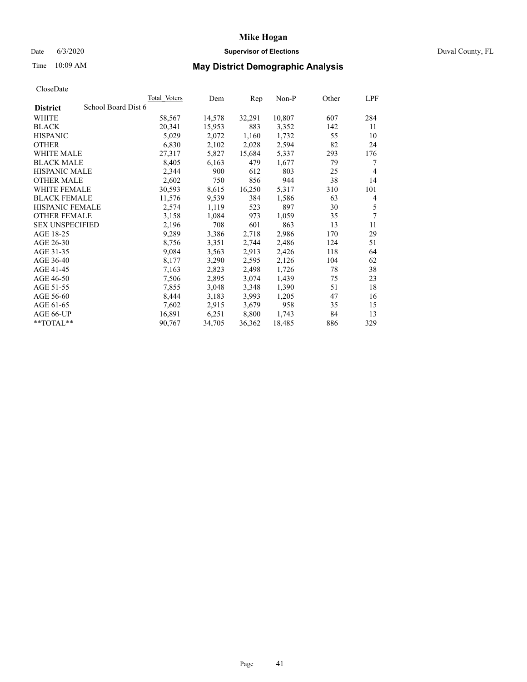## Date 6/3/2020 **Supervisor of Elections** Duval County, FL

# Time 10:09 AM **May District Demographic Analysis**

|                        | Total Voters        | Dem    | Rep    | Non-P  | Other | LPF            |
|------------------------|---------------------|--------|--------|--------|-------|----------------|
| <b>District</b>        | School Board Dist 6 |        |        |        |       |                |
| WHITE                  | 58,567              | 14,578 | 32,291 | 10,807 | 607   | 284            |
| <b>BLACK</b>           | 20,341              | 15,953 | 883    | 3,352  | 142   | 11             |
| <b>HISPANIC</b>        | 5,029               | 2,072  | 1,160  | 1,732  | 55    | 10             |
| <b>OTHER</b>           | 6,830               | 2,102  | 2,028  | 2,594  | 82    | 24             |
| WHITE MALE             | 27,317              | 5,827  | 15,684 | 5,337  | 293   | 176            |
| <b>BLACK MALE</b>      | 8,405               | 6,163  | 479    | 1,677  | 79    | 7              |
| <b>HISPANIC MALE</b>   | 2,344               | 900    | 612    | 803    | 25    | $\overline{4}$ |
| <b>OTHER MALE</b>      | 2,602               | 750    | 856    | 944    | 38    | 14             |
| <b>WHITE FEMALE</b>    | 30,593              | 8,615  | 16,250 | 5,317  | 310   | 101            |
| <b>BLACK FEMALE</b>    | 11,576              | 9,539  | 384    | 1,586  | 63    | 4              |
| <b>HISPANIC FEMALE</b> | 2,574               | 1,119  | 523    | 897    | 30    | 5              |
| <b>OTHER FEMALE</b>    | 3,158               | 1,084  | 973    | 1,059  | 35    | 7              |
| <b>SEX UNSPECIFIED</b> | 2,196               | 708    | 601    | 863    | 13    | 11             |
| AGE 18-25              | 9,289               | 3,386  | 2,718  | 2,986  | 170   | 29             |
| AGE 26-30              | 8,756               | 3,351  | 2,744  | 2,486  | 124   | 51             |
| AGE 31-35              | 9,084               | 3,563  | 2,913  | 2,426  | 118   | 64             |
| AGE 36-40              | 8,177               | 3,290  | 2,595  | 2,126  | 104   | 62             |
| AGE 41-45              | 7,163               | 2,823  | 2,498  | 1,726  | 78    | 38             |
| AGE 46-50              | 7,506               | 2,895  | 3,074  | 1,439  | 75    | 23             |
| AGE 51-55              | 7,855               | 3,048  | 3,348  | 1,390  | 51    | 18             |
| AGE 56-60              | 8,444               | 3,183  | 3,993  | 1,205  | 47    | 16             |
| AGE 61-65              | 7,602               | 2,915  | 3,679  | 958    | 35    | 15             |
| AGE 66-UP              | 16,891              | 6,251  | 8,800  | 1,743  | 84    | 13             |
| $*$ TOTAL $*$          | 90,767              | 34,705 | 36,362 | 18,485 | 886   | 329            |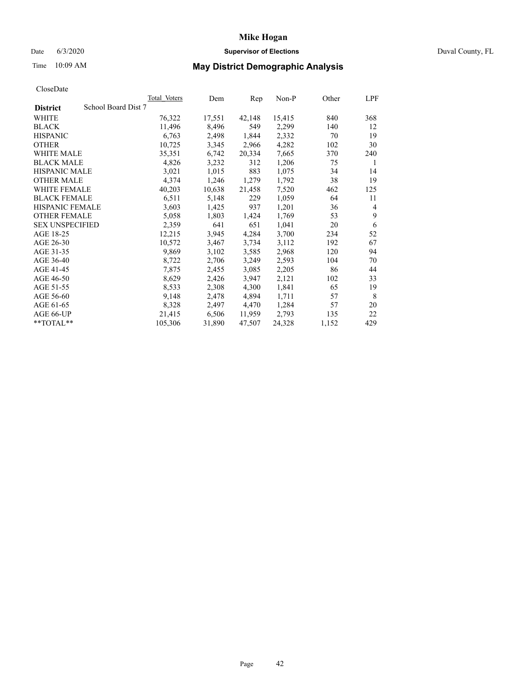## Date 6/3/2020 **Supervisor of Elections** Duval County, FL

# Time 10:09 AM **May District Demographic Analysis**

|                                        | <b>Total Voters</b> | Dem    | Rep    | Non-P  | Other | LPF |
|----------------------------------------|---------------------|--------|--------|--------|-------|-----|
| School Board Dist 7<br><b>District</b> |                     |        |        |        |       |     |
| WHITE                                  | 76,322              | 17,551 | 42,148 | 15,415 | 840   | 368 |
| <b>BLACK</b>                           | 11,496              | 8,496  | 549    | 2,299  | 140   | 12  |
| <b>HISPANIC</b>                        | 6,763               | 2,498  | 1,844  | 2,332  | 70    | 19  |
| <b>OTHER</b>                           | 10,725              | 3,345  | 2,966  | 4,282  | 102   | 30  |
| WHITE MALE                             | 35,351              | 6,742  | 20,334 | 7,665  | 370   | 240 |
| <b>BLACK MALE</b>                      | 4,826               | 3,232  | 312    | 1,206  | 75    | 1   |
| <b>HISPANIC MALE</b>                   | 3,021               | 1,015  | 883    | 1,075  | 34    | 14  |
| <b>OTHER MALE</b>                      | 4,374               | 1,246  | 1,279  | 1,792  | 38    | 19  |
| <b>WHITE FEMALE</b>                    | 40,203              | 10,638 | 21,458 | 7,520  | 462   | 125 |
| <b>BLACK FEMALE</b>                    | 6,511               | 5,148  | 229    | 1,059  | 64    | 11  |
| HISPANIC FEMALE                        | 3,603               | 1,425  | 937    | 1,201  | 36    | 4   |
| <b>OTHER FEMALE</b>                    | 5,058               | 1,803  | 1,424  | 1,769  | 53    | 9   |
| <b>SEX UNSPECIFIED</b>                 | 2,359               | 641    | 651    | 1,041  | 20    | 6   |
| AGE 18-25                              | 12,215              | 3,945  | 4,284  | 3,700  | 234   | 52  |
| AGE 26-30                              | 10,572              | 3,467  | 3,734  | 3,112  | 192   | 67  |
| AGE 31-35                              | 9,869               | 3,102  | 3,585  | 2,968  | 120   | 94  |
| AGE 36-40                              | 8,722               | 2,706  | 3,249  | 2,593  | 104   | 70  |
| AGE 41-45                              | 7,875               | 2,455  | 3,085  | 2,205  | 86    | 44  |
| AGE 46-50                              | 8,629               | 2,426  | 3,947  | 2,121  | 102   | 33  |
| AGE 51-55                              | 8,533               | 2,308  | 4,300  | 1,841  | 65    | 19  |
| AGE 56-60                              | 9,148               | 2,478  | 4,894  | 1,711  | 57    | 8   |
| AGE 61-65                              | 8,328               | 2,497  | 4,470  | 1,284  | 57    | 20  |
| AGE 66-UP                              | 21,415              | 6,506  | 11,959 | 2,793  | 135   | 22  |
| **TOTAL**                              | 105,306             | 31,890 | 47,507 | 24,328 | 1,152 | 429 |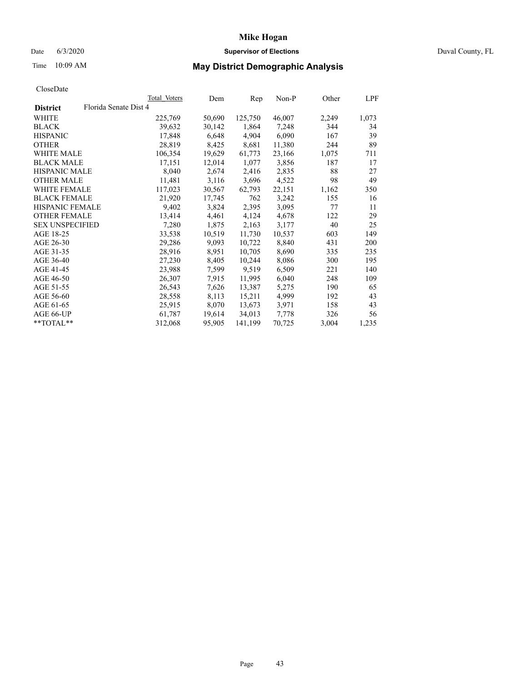## Date 6/3/2020 **Supervisor of Elections** Duval County, FL

# Time 10:09 AM **May District Demographic Analysis**

|                        |                       | Total Voters | Dem    | Rep     | Non-P  | Other | LPF   |
|------------------------|-----------------------|--------------|--------|---------|--------|-------|-------|
| <b>District</b>        | Florida Senate Dist 4 |              |        |         |        |       |       |
| WHITE                  |                       | 225,769      | 50,690 | 125,750 | 46,007 | 2,249 | 1,073 |
| <b>BLACK</b>           |                       | 39,632       | 30,142 | 1,864   | 7,248  | 344   | 34    |
| <b>HISPANIC</b>        |                       | 17,848       | 6,648  | 4,904   | 6,090  | 167   | 39    |
| <b>OTHER</b>           |                       | 28,819       | 8,425  | 8,681   | 11,380 | 244   | 89    |
| WHITE MALE             |                       | 106,354      | 19,629 | 61,773  | 23,166 | 1,075 | 711   |
| <b>BLACK MALE</b>      |                       | 17,151       | 12,014 | 1,077   | 3,856  | 187   | 17    |
| <b>HISPANIC MALE</b>   |                       | 8,040        | 2,674  | 2,416   | 2,835  | 88    | 27    |
| <b>OTHER MALE</b>      |                       | 11,481       | 3,116  | 3,696   | 4,522  | 98    | 49    |
| <b>WHITE FEMALE</b>    |                       | 117,023      | 30,567 | 62,793  | 22,151 | 1,162 | 350   |
| <b>BLACK FEMALE</b>    |                       | 21,920       | 17,745 | 762     | 3,242  | 155   | 16    |
| <b>HISPANIC FEMALE</b> |                       | 9,402        | 3,824  | 2,395   | 3,095  | 77    | 11    |
| <b>OTHER FEMALE</b>    |                       | 13,414       | 4,461  | 4,124   | 4,678  | 122   | 29    |
| <b>SEX UNSPECIFIED</b> |                       | 7,280        | 1,875  | 2,163   | 3,177  | 40    | 25    |
| AGE 18-25              |                       | 33,538       | 10,519 | 11,730  | 10,537 | 603   | 149   |
| AGE 26-30              |                       | 29,286       | 9,093  | 10,722  | 8,840  | 431   | 200   |
| AGE 31-35              |                       | 28,916       | 8,951  | 10,705  | 8,690  | 335   | 235   |
| AGE 36-40              |                       | 27,230       | 8,405  | 10,244  | 8,086  | 300   | 195   |
| AGE 41-45              |                       | 23,988       | 7,599  | 9,519   | 6,509  | 221   | 140   |
| AGE 46-50              |                       | 26,307       | 7,915  | 11,995  | 6,040  | 248   | 109   |
| AGE 51-55              |                       | 26,543       | 7,626  | 13,387  | 5,275  | 190   | 65    |
| AGE 56-60              |                       | 28,558       | 8,113  | 15,211  | 4,999  | 192   | 43    |
| AGE 61-65              |                       | 25,915       | 8,070  | 13,673  | 3,971  | 158   | 43    |
| AGE 66-UP              |                       | 61,787       | 19,614 | 34,013  | 7,778  | 326   | 56    |
| $*$ $TOTAL**$          |                       | 312,068      | 95,905 | 141,199 | 70,725 | 3,004 | 1,235 |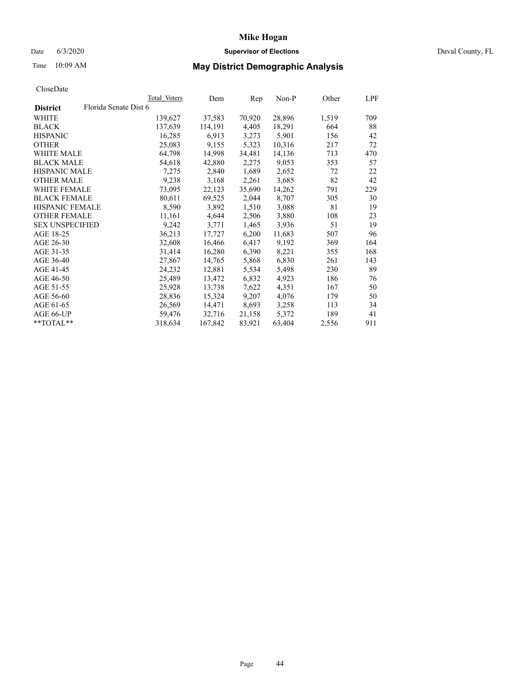#### Date 6/3/2020 **Supervisor of Elections Supervisor of Elections** Duval County, FL

# Time 10:09 AM **May District Demographic Analysis**

|                        |                       | Total Voters | Dem     | Rep    | $Non-P$ | Other | LPF |
|------------------------|-----------------------|--------------|---------|--------|---------|-------|-----|
| <b>District</b>        | Florida Senate Dist 6 |              |         |        |         |       |     |
| WHITE                  |                       | 139,627      | 37,583  | 70,920 | 28,896  | 1,519 | 709 |
| <b>BLACK</b>           |                       | 137,639      | 114,191 | 4,405  | 18,291  | 664   | 88  |
| <b>HISPANIC</b>        |                       | 16,285       | 6,913   | 3,273  | 5,901   | 156   | 42  |
| <b>OTHER</b>           |                       | 25,083       | 9,155   | 5,323  | 10,316  | 217   | 72  |
| WHITE MALE             |                       | 64,798       | 14,998  | 34,481 | 14,136  | 713   | 470 |
| <b>BLACK MALE</b>      |                       | 54,618       | 42,880  | 2,275  | 9,053   | 353   | 57  |
| <b>HISPANIC MALE</b>   |                       | 7,275        | 2,840   | 1,689  | 2,652   | 72    | 22  |
| <b>OTHER MALE</b>      |                       | 9,238        | 3,168   | 2,261  | 3,685   | 82    | 42  |
| <b>WHITE FEMALE</b>    |                       | 73,095       | 22,123  | 35,690 | 14,262  | 791   | 229 |
| <b>BLACK FEMALE</b>    |                       | 80,611       | 69,525  | 2,044  | 8,707   | 305   | 30  |
| HISPANIC FEMALE        |                       | 8,590        | 3,892   | 1,510  | 3,088   | 81    | 19  |
| <b>OTHER FEMALE</b>    |                       | 11,161       | 4,644   | 2,506  | 3,880   | 108   | 23  |
| <b>SEX UNSPECIFIED</b> |                       | 9,242        | 3,771   | 1,465  | 3,936   | 51    | 19  |
| AGE 18-25              |                       | 36,213       | 17,727  | 6,200  | 11,683  | 507   | 96  |
| AGE 26-30              |                       | 32,608       | 16,466  | 6,417  | 9,192   | 369   | 164 |
| AGE 31-35              |                       | 31,414       | 16,280  | 6,390  | 8,221   | 355   | 168 |
| AGE 36-40              |                       | 27,867       | 14,765  | 5,868  | 6,830   | 261   | 143 |
| AGE 41-45              |                       | 24,232       | 12,881  | 5,534  | 5,498   | 230   | 89  |
| AGE 46-50              |                       | 25,489       | 13,472  | 6,832  | 4,923   | 186   | 76  |
| AGE 51-55              |                       | 25,928       | 13,738  | 7,622  | 4,351   | 167   | 50  |
| AGE 56-60              |                       | 28,836       | 15,324  | 9,207  | 4,076   | 179   | 50  |
| AGE 61-65              |                       | 26,569       | 14,471  | 8,693  | 3,258   | 113   | 34  |
| AGE 66-UP              |                       | 59,476       | 32,716  | 21,158 | 5,372   | 189   | 41  |
| **TOTAL**              |                       | 318,634      | 167,842 | 83,921 | 63,404  | 2,556 | 911 |
|                        |                       |              |         |        |         |       |     |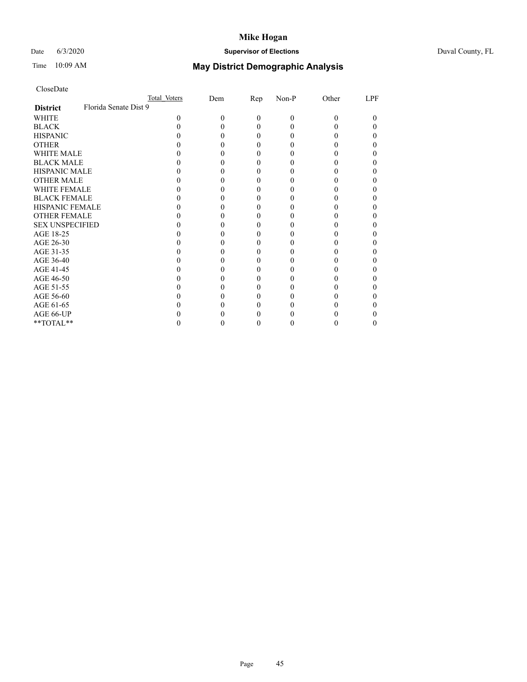## Date 6/3/2020 **Supervisor of Elections** Duval County, FL

# Time 10:09 AM **May District Demographic Analysis**

|                                          | Total Voters | Dem | Rep | Non-P    | Other | LPF |
|------------------------------------------|--------------|-----|-----|----------|-------|-----|
| Florida Senate Dist 9<br><b>District</b> |              |     |     |          |       |     |
| WHITE                                    | 0            | 0   | 0   | $\Omega$ | 0     | 0   |
| <b>BLACK</b>                             |              |     |     |          |       |     |
| <b>HISPANIC</b>                          |              |     |     |          |       | 0   |
| <b>OTHER</b>                             |              |     |     |          |       |     |
| WHITE MALE                               |              |     |     |          |       |     |
| <b>BLACK MALE</b>                        |              |     |     |          |       |     |
| <b>HISPANIC MALE</b>                     |              |     |     |          |       |     |
| <b>OTHER MALE</b>                        |              |     |     |          |       |     |
| <b>WHITE FEMALE</b>                      |              |     |     |          |       |     |
| <b>BLACK FEMALE</b>                      |              |     |     |          |       | 0   |
| <b>HISPANIC FEMALE</b>                   |              |     |     |          |       |     |
| <b>OTHER FEMALE</b>                      |              |     |     |          |       |     |
| <b>SEX UNSPECIFIED</b>                   |              |     |     |          |       |     |
| AGE 18-25                                |              |     |     |          |       |     |
| AGE 26-30                                |              |     |     |          |       |     |
| AGE 31-35                                |              |     |     |          |       |     |
| AGE 36-40                                |              |     |     |          |       | 0   |
| AGE 41-45                                |              |     |     |          |       |     |
| AGE 46-50                                |              |     |     |          |       |     |
| AGE 51-55                                |              |     |     |          |       |     |
| AGE 56-60                                |              |     |     |          |       |     |
| AGE 61-65                                |              |     |     |          |       |     |
| AGE 66-UP                                |              |     |     |          |       |     |
| **TOTAL**                                |              |     | 0   |          |       | 0   |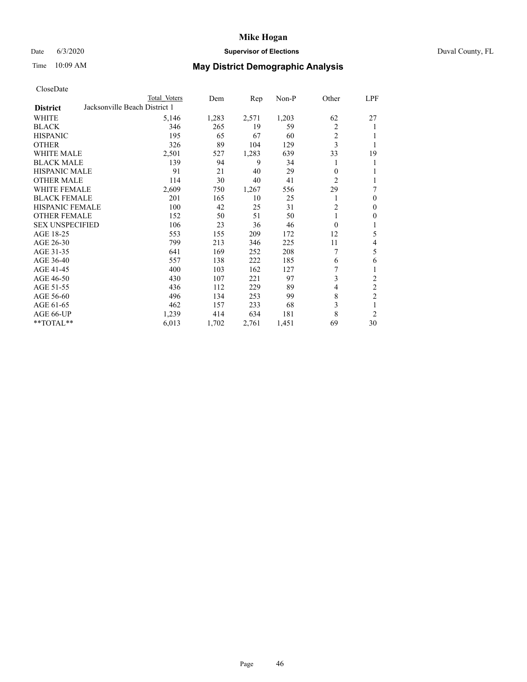## Date 6/3/2020 **Supervisor of Elections Supervisor of Elections** Duval County, FL

# Time 10:09 AM **May District Demographic Analysis**

| CloseDate |  |
|-----------|--|
|-----------|--|

|                                                  | Total Voters | Dem   | Rep   | Non-P | Other          | LPF            |
|--------------------------------------------------|--------------|-------|-------|-------|----------------|----------------|
| Jacksonville Beach District 1<br><b>District</b> |              |       |       |       |                |                |
| WHITE                                            | 5,146        | 1,283 | 2,571 | 1,203 | 62             | 27             |
| <b>BLACK</b>                                     | 346          | 265   | 19    | 59    | 2              | 1              |
| <b>HISPANIC</b>                                  | 195          | 65    | 67    | 60    | 2              |                |
| <b>OTHER</b>                                     | 326          | 89    | 104   | 129   | 3              |                |
| <b>WHITE MALE</b>                                | 2,501        | 527   | 1,283 | 639   | 33             | 19             |
| <b>BLACK MALE</b>                                | 139          | 94    | 9     | 34    | 1              | 1              |
| <b>HISPANIC MALE</b>                             | 91           | 21    | 40    | 29    | $\theta$       |                |
| <b>OTHER MALE</b>                                | 114          | 30    | 40    | 41    | $\overline{2}$ |                |
| <b>WHITE FEMALE</b>                              | 2,609        | 750   | 1,267 | 556   | 29             | 7              |
| <b>BLACK FEMALE</b>                              | 201          | 165   | 10    | 25    | 1              | $\Omega$       |
| <b>HISPANIC FEMALE</b>                           | 100          | 42    | 25    | 31    | $\overline{2}$ | 0              |
| <b>OTHER FEMALE</b>                              | 152          | 50    | 51    | 50    | 1              | 0              |
| <b>SEX UNSPECIFIED</b>                           | 106          | 23    | 36    | 46    | $\theta$       | 1              |
| AGE 18-25                                        | 553          | 155   | 209   | 172   | 12             | 5              |
| AGE 26-30                                        | 799          | 213   | 346   | 225   | 11             | 4              |
| AGE 31-35                                        | 641          | 169   | 252   | 208   | 7              | 5              |
| AGE 36-40                                        | 557          | 138   | 222   | 185   | 6              | 6              |
| AGE 41-45                                        | 400          | 103   | 162   | 127   | 7              | 1              |
| AGE 46-50                                        | 430          | 107   | 221   | 97    | 3              | $\overline{c}$ |
| AGE 51-55                                        | 436          | 112   | 229   | 89    | 4              | 2              |
| AGE 56-60                                        | 496          | 134   | 253   | 99    | 8              | $\overline{2}$ |
| AGE 61-65                                        | 462          | 157   | 233   | 68    | 3              | 1              |
| AGE 66-UP                                        | 1,239        | 414   | 634   | 181   | 8              | $\overline{2}$ |
| **TOTAL**                                        | 6,013        | 1,702 | 2,761 | 1,451 | 69             | 30             |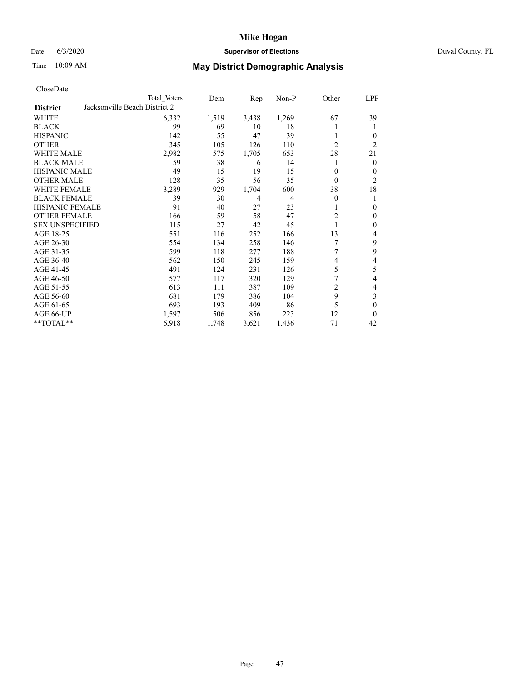## Date 6/3/2020 **Supervisor of Elections Supervisor of Elections** Duval County, FL

# Time 10:09 AM **May District Demographic Analysis**

|                                                  | Total Voters | Dem   | Rep   | Non-P | Other          | LPF            |  |  |  |
|--------------------------------------------------|--------------|-------|-------|-------|----------------|----------------|--|--|--|
| Jacksonville Beach District 2<br><b>District</b> |              |       |       |       |                |                |  |  |  |
| WHITE                                            | 6,332        | 1,519 | 3,438 | 1,269 | 67             | 39             |  |  |  |
| <b>BLACK</b>                                     | 99           | 69    | 10    | 18    |                | 1              |  |  |  |
| <b>HISPANIC</b>                                  | 142          | 55    | 47    | 39    | 1              | $\Omega$       |  |  |  |
| <b>OTHER</b>                                     | 345          | 105   | 126   | 110   | $\overline{2}$ | $\overline{2}$ |  |  |  |
| <b>WHITE MALE</b>                                | 2,982        | 575   | 1,705 | 653   | 28             | 21             |  |  |  |
| <b>BLACK MALE</b>                                | 59           | 38    | 6     | 14    | 1              | $\mathbf{0}$   |  |  |  |
| <b>HISPANIC MALE</b>                             | 49           | 15    | 19    | 15    | $\theta$       | $\Omega$       |  |  |  |
| <b>OTHER MALE</b>                                | 128          | 35    | 56    | 35    | $\Omega$       | 2              |  |  |  |
| <b>WHITE FEMALE</b>                              | 3,289        | 929   | 1,704 | 600   | 38             | 18             |  |  |  |
| <b>BLACK FEMALE</b>                              | 39           | 30    | 4     | 4     | $\theta$       | 1              |  |  |  |
| <b>HISPANIC FEMALE</b>                           | 91           | 40    | 27    | 23    |                | $\theta$       |  |  |  |
| <b>OTHER FEMALE</b>                              | 166          | 59    | 58    | 47    | $\overline{2}$ | $\theta$       |  |  |  |
| <b>SEX UNSPECIFIED</b>                           | 115          | 27    | 42    | 45    | 1              | $\theta$       |  |  |  |
| AGE 18-25                                        | 551          | 116   | 252   | 166   | 13             | 4              |  |  |  |
| AGE 26-30                                        | 554          | 134   | 258   | 146   | 7              | 9              |  |  |  |
| AGE 31-35                                        | 599          | 118   | 277   | 188   |                | 9              |  |  |  |
| AGE 36-40                                        | 562          | 150   | 245   | 159   | 4              | 4              |  |  |  |
| AGE 41-45                                        | 491          | 124   | 231   | 126   | 5              | 5              |  |  |  |
| AGE 46-50                                        | 577          | 117   | 320   | 129   | 7              | 4              |  |  |  |
| AGE 51-55                                        | 613          | 111   | 387   | 109   | $\overline{c}$ | 4              |  |  |  |
| AGE 56-60                                        | 681          | 179   | 386   | 104   | 9              | 3              |  |  |  |
| AGE 61-65                                        | 693          | 193   | 409   | 86    | 5              | $\theta$       |  |  |  |
| AGE 66-UP                                        | 1,597        | 506   | 856   | 223   | 12             | $\theta$       |  |  |  |
| **TOTAL**                                        | 6,918        | 1,748 | 3,621 | 1,436 | 71             | 42             |  |  |  |